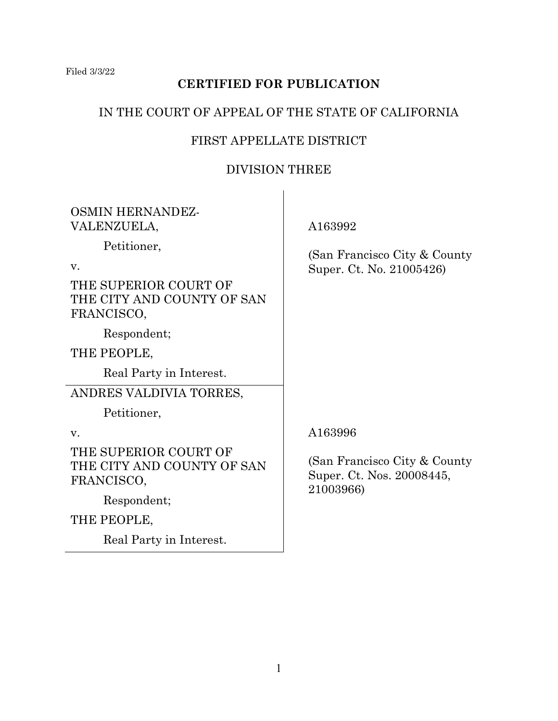Filed 3/3/22

# **CERTIFIED FOR PUBLICATION**

## IN THE COURT OF APPEAL OF THE STATE OF CALIFORNIA

# FIRST APPELLATE DISTRICT

## DIVISION THREE

| <b>OSMIN HERNANDEZ-</b><br>VALENZUELA,                                                 | A163992                                                                 |  |
|----------------------------------------------------------------------------------------|-------------------------------------------------------------------------|--|
| Petitioner,<br>V.<br>THE SUPERIOR COURT OF<br>THE CITY AND COUNTY OF SAN<br>FRANCISCO, | (San Francisco City & County)<br>Super. Ct. No. 21005426)               |  |
| Respondent;<br>THE PEOPLE,<br>Real Party in Interest.                                  |                                                                         |  |
| ANDRES VALDIVIA TORRES,<br>Petitioner,                                                 |                                                                         |  |
| V.                                                                                     | A163996                                                                 |  |
| THE SUPERIOR COURT OF<br>THE CITY AND COUNTY OF SAN<br>FRANCISCO,                      | (San Francisco City & County)<br>Super. Ct. Nos. 20008445,<br>21003966) |  |
| Respondent;                                                                            |                                                                         |  |
| THE PEOPLE,                                                                            |                                                                         |  |
| Real Party in Interest.                                                                |                                                                         |  |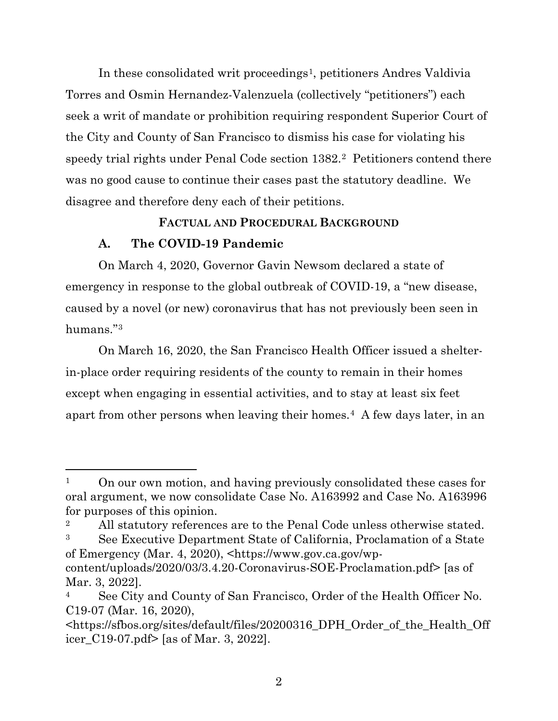In these consolidated writ proceedings<sup>1</sup>, petitioners Andres Valdivia Torres and Osmin Hernandez-Valenzuela (collectively "petitioners") each seek a writ of mandate or prohibition requiring respondent Superior Court of the City and County of San Francisco to dismiss his case for violating his speedy trial rights under Penal Code section 1382.[2](#page-1-1) Petitioners contend there was no good cause to continue their cases past the statutory deadline. We disagree and therefore deny each of their petitions.

## **FACTUAL AND PROCEDURAL BACKGROUND**

## **A. The COVID-19 Pandemic**

On March 4, 2020, Governor Gavin Newsom declared a state of emergency in response to the global outbreak of COVID-19, a "new disease, caused by a novel (or new) coronavirus that has not previously been seen in humans."[3](#page-1-2)

On March 16, 2020, the San Francisco Health Officer issued a shelterin-place order requiring residents of the county to remain in their homes except when engaging in essential activities, and to stay at least six feet apart from other persons when leaving their homes.[4](#page-1-3) A few days later, in an

<span id="page-1-0"></span><sup>&</sup>lt;sup>1</sup> On our own motion, and having previously consolidated these cases for oral argument, we now consolidate Case No. A163992 and Case No. A163996 for purposes of this opinion.

<span id="page-1-1"></span><sup>&</sup>lt;sup>2</sup> All statutory references are to the Penal Code unless otherwise stated. <sup>3</sup> See Executive Department State of California, Proclamation of a State

<span id="page-1-2"></span>of Emergency (Mar. 4, 2020), <https://www.gov.ca.gov/wpcontent/uploads/2020/03/3.4.20-Coronavirus-SOE-Proclamation.pdf> [as of Mar. 3, 2022].

<span id="page-1-3"></span>See City and County of San Francisco, Order of the Health Officer No. C19-07 (Mar. 16, 2020),

<sup>&</sup>lt;https://sfbos.org/sites/default/files/20200316\_DPH\_Order\_of\_the\_Health\_Off icer\_C19-07.pdf> [as of Mar. 3, 2022].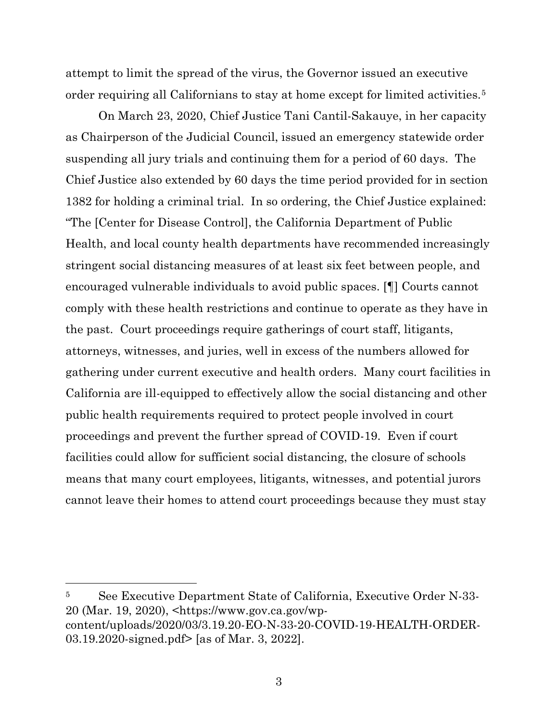attempt to limit the spread of the virus, the Governor issued an executive order requiring all Californians to stay at home except for limited activities.<sup>[5](#page-2-0)</sup>

On March 23, 2020, Chief Justice Tani Cantil-Sakauye, in her capacity as Chairperson of the Judicial Council, issued an emergency statewide order suspending all jury trials and continuing them for a period of 60 days. The Chief Justice also extended by 60 days the time period provided for in section 1382 for holding a criminal trial. In so ordering, the Chief Justice explained: "The [Center for Disease Control], the California Department of Public Health, and local county health departments have recommended increasingly stringent social distancing measures of at least six feet between people, and encouraged vulnerable individuals to avoid public spaces. [¶] Courts cannot comply with these health restrictions and continue to operate as they have in the past. Court proceedings require gatherings of court staff, litigants, attorneys, witnesses, and juries, well in excess of the numbers allowed for gathering under current executive and health orders. Many court facilities in California are ill-equipped to effectively allow the social distancing and other public health requirements required to protect people involved in court proceedings and prevent the further spread of COVID-19. Even if court facilities could allow for sufficient social distancing, the closure of schools means that many court employees, litigants, witnesses, and potential jurors cannot leave their homes to attend court proceedings because they must stay

<span id="page-2-0"></span><sup>5</sup> See Executive Department State of California, Executive Order N-33- 20 (Mar. 19, 2020), <https://www.gov.ca.gov/wpcontent/uploads/2020/03/3.19.20-EO-N-33-20-COVID-19-HEALTH-ORDER-03.19.2020-signed.pdf> [as of Mar. 3, 2022].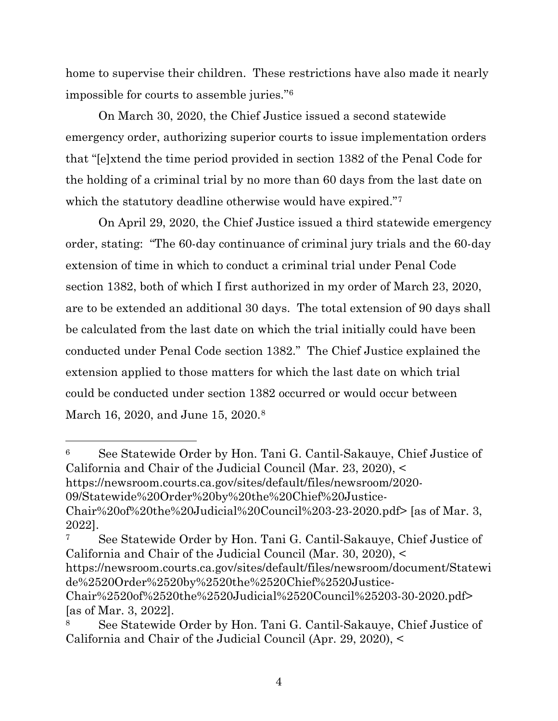home to supervise their children. These restrictions have also made it nearly impossible for courts to assemble juries."[6](#page-3-0)

On March 30, 2020, the Chief Justice issued a second statewide emergency order, authorizing superior courts to issue implementation orders that "[e]xtend the time period provided in section 1382 of the Penal Code for the holding of a criminal trial by no more than 60 days from the last date on which the statutory deadline otherwise would have expired."[7](#page-3-1)

On April 29, 2020, the Chief Justice issued a third statewide emergency order, stating: "The 60-day continuance of criminal jury trials and the 60-day extension of time in which to conduct a criminal trial under Penal Code section 1382, both of which I first authorized in my order of March 23, 2020, are to be extended an additional 30 days. The total extension of 90 days shall be calculated from the last date on which the trial initially could have been conducted under Penal Code section 1382." The Chief Justice explained the extension applied to those matters for which the last date on which trial could be conducted under section 1382 occurred or would occur between March 16, 2020, and June 15, 2020.<sup>[8](#page-3-2)</sup>

<span id="page-3-0"></span><sup>6</sup> See Statewide Order by Hon. Tani G. Cantil-Sakauye, Chief Justice of California and Chair of the Judicial Council (Mar. 23, 2020), < https://newsroom.courts.ca.gov/sites/default/files/newsroom/2020- 09/Statewide%20Order%20by%20the%20Chief%20Justice-Chair%20of%20the%20Judicial%20Council%203-23-2020.pdf> [as of Mar. 3, 2022].

<span id="page-3-1"></span><sup>7</sup> See Statewide Order by Hon. Tani G. Cantil-Sakauye, Chief Justice of California and Chair of the Judicial Council (Mar. 30, 2020), < https://newsroom.courts.ca.gov/sites/default/files/newsroom/document/Statewi de%2520Order%2520by%2520the%2520Chief%2520Justice-Chair%2520of%2520the%2520Judicial%2520Council%25203-30-2020.pdf> [as of Mar. 3, 2022].

<span id="page-3-2"></span><sup>8</sup> See Statewide Order by Hon. Tani G. Cantil-Sakauye, Chief Justice of California and Chair of the Judicial Council (Apr. 29, 2020), <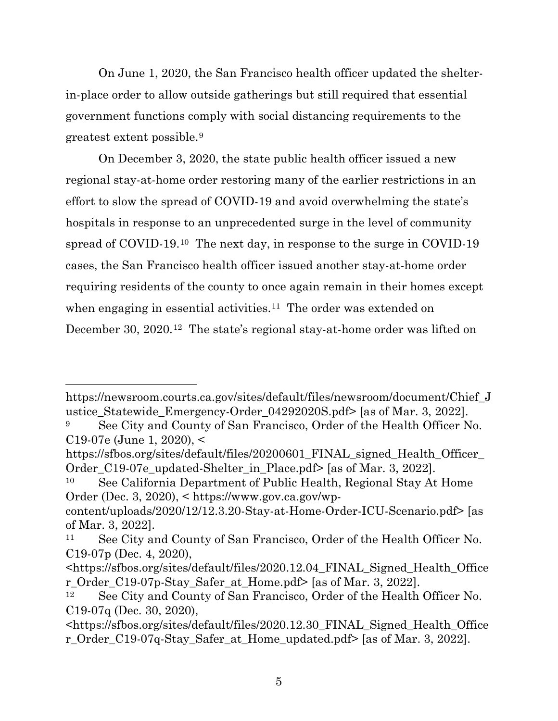On June 1, 2020, the San Francisco health officer updated the shelterin-place order to allow outside gatherings but still required that essential government functions comply with social distancing requirements to the greatest extent possible.[9](#page-4-0)

On December 3, 2020, the state public health officer issued a new regional stay-at-home order restoring many of the earlier restrictions in an effort to slow the spread of COVID-19 and avoid overwhelming the state's hospitals in response to an unprecedented surge in the level of community spread of COVID-19.[10](#page-4-1) The next day, in response to the surge in COVID-19 cases, the San Francisco health officer issued another stay-at-home order requiring residents of the county to once again remain in their homes except when engaging in essential activities.<sup>11</sup> The order was extended on December 30, 2020.<sup>12</sup> The state's regional stay-at-home order was lifted on

https://newsroom.courts.ca.gov/sites/default/files/newsroom/document/Chief\_J ustice Statewide Emergency-Order 04292020S.pdf> [as of Mar. 3, 2022].

<span id="page-4-0"></span><sup>&</sup>lt;sup>9</sup> See City and County of San Francisco, Order of the Health Officer No. C19-07e (June 1, 2020), <

https://sfbos.org/sites/default/files/20200601 FINAL signed Health Officer Order\_C19-07e\_updated-Shelter\_in\_Place.pdf> [as of Mar. 3, 2022].

<span id="page-4-1"></span><sup>10</sup> See California Department of Public Health, Regional Stay At Home Order (Dec. 3, 2020), < https://www.gov.ca.gov/wp-

content/uploads/2020/12/12.3.20-Stay-at-Home-Order-ICU-Scenario.pdf> [as of Mar. 3, 2022].

<span id="page-4-2"></span><sup>&</sup>lt;sup>11</sup> See City and County of San Francisco, Order of the Health Officer No. C19-07p (Dec. 4, 2020),

<sup>&</sup>lt;https://sfbos.org/sites/default/files/2020.12.04\_FINAL\_Signed\_Health\_Office r\_Order\_C19-07p-Stay\_Safer\_at\_Home.pdf> [as of Mar. 3, 2022].

<span id="page-4-3"></span><sup>&</sup>lt;sup>12</sup> See City and County of San Francisco, Order of the Health Officer No. C19-07q (Dec. 30, 2020),

<sup>&</sup>lt;https://sfbos.org/sites/default/files/2020.12.30\_FINAL\_Signed\_Health\_Office r\_Order\_C19-07q-Stay\_Safer\_at\_Home\_updated.pdf> [as of Mar. 3, 2022].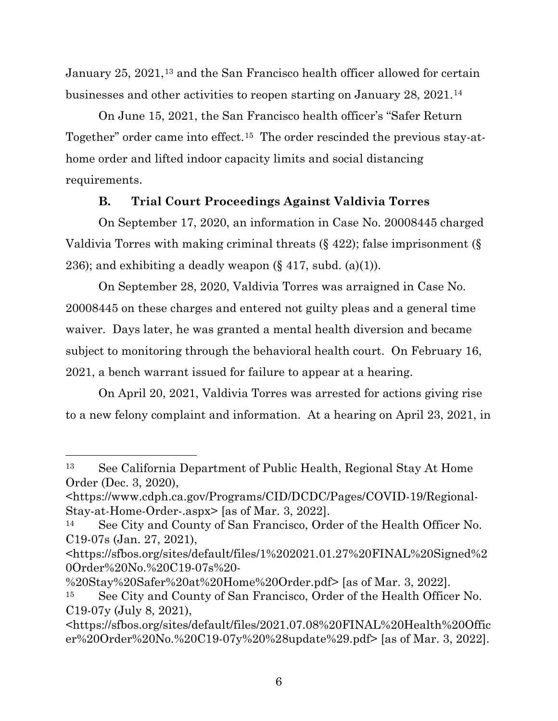January 25, 2021,<sup>[13](#page-5-0)</sup> and the San Francisco health officer allowed for certain businesses and other activities to reopen starting on January 28, 2021.[14](#page-5-1)

On June 15, 2021, the San Francisco health officer's "Safer Return Together" order came into effect.[15](#page-5-2) The order rescinded the previous stay-athome order and lifted indoor capacity limits and social distancing requirements.

# **B. Trial Court Proceedings Against Valdivia Torres**

On September 17, 2020, an information in Case No. 20008445 charged Valdivia Torres with making criminal threats (§ 422); false imprisonment (§ 236); and exhibiting a deadly weapon  $(\S 417, \text{subd.} (a)(1)).$ 

On September 28, 2020, Valdivia Torres was arraigned in Case No. 20008445 on these charges and entered not guilty pleas and a general time waiver. Days later, he was granted a mental health diversion and became subject to monitoring through the behavioral health court. On February 16, 2021, a bench warrant issued for failure to appear at a hearing.

On April 20, 2021, Valdivia Torres was arrested for actions giving rise to a new felony complaint and information. At a hearing on April 23, 2021, in

<span id="page-5-0"></span><sup>13</sup> See California Department of Public Health, Regional Stay At Home Order (Dec. 3, 2020),

<sup>&</sup>lt;https://www.cdph.ca.gov/Programs/CID/DCDC/Pages/COVID-19/Regional-Stay-at-Home-Order-.aspx> [as of Mar. 3, 2022].

<span id="page-5-1"></span><sup>14</sup> See City and County of San Francisco, Order of the Health Officer No. C19-07s (Jan. 27, 2021),

<sup>&</sup>lt;https://sfbos.org/sites/default/files/1%202021.01.27%20FINAL%20Signed%2 0Order%20No.%20C19-07s%20-

<sup>%20</sup>Stay%20Safer%20at%20Home%20Order.pdf> [as of Mar. 3, 2022].

<span id="page-5-2"></span><sup>15</sup> See City and County of San Francisco, Order of the Health Officer No. C19-07y (July 8, 2021),

<sup>&</sup>lt;https://sfbos.org/sites/default/files/2021.07.08%20FINAL%20Health%20Offic er%20Order%20No.%20C19-07y%20%28update%29.pdf> [as of Mar. 3, 2022].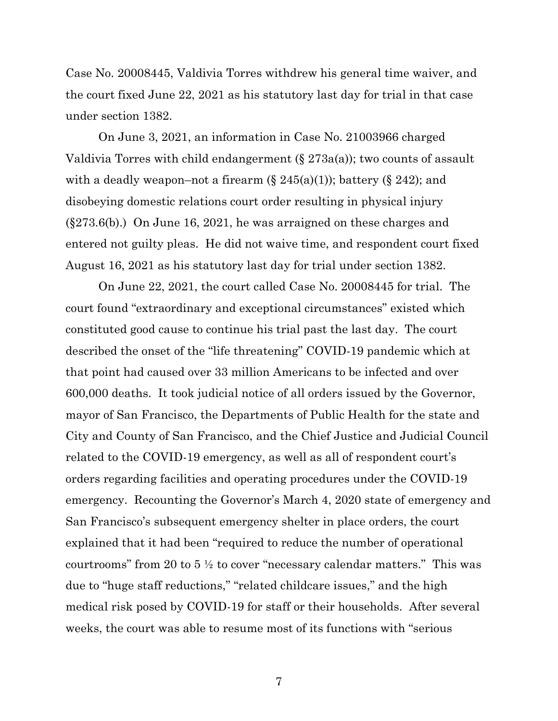Case No. 20008445, Valdivia Torres withdrew his general time waiver, and the court fixed June 22, 2021 as his statutory last day for trial in that case under section 1382.

On June 3, 2021, an information in Case No. 21003966 charged Valdivia Torres with child endangerment  $(\S 273a(a))$ ; two counts of assault with a deadly weapon–not a firearm  $(\S 245(a)(1))$ ; battery  $(\S 242)$ ; and disobeying domestic relations court order resulting in physical injury (§273.6(b).) On June 16, 2021, he was arraigned on these charges and entered not guilty pleas. He did not waive time, and respondent court fixed August 16, 2021 as his statutory last day for trial under section 1382.

On June 22, 2021, the court called Case No. 20008445 for trial. The court found "extraordinary and exceptional circumstances" existed which constituted good cause to continue his trial past the last day. The court described the onset of the "life threatening" COVID-19 pandemic which at that point had caused over 33 million Americans to be infected and over 600,000 deaths. It took judicial notice of all orders issued by the Governor, mayor of San Francisco, the Departments of Public Health for the state and City and County of San Francisco, and the Chief Justice and Judicial Council related to the COVID-19 emergency, as well as all of respondent court's orders regarding facilities and operating procedures under the COVID-19 emergency. Recounting the Governor's March 4, 2020 state of emergency and San Francisco's subsequent emergency shelter in place orders, the court explained that it had been "required to reduce the number of operational courtrooms" from 20 to 5 ½ to cover "necessary calendar matters." This was due to "huge staff reductions," "related childcare issues," and the high medical risk posed by COVID-19 for staff or their households. After several weeks, the court was able to resume most of its functions with "serious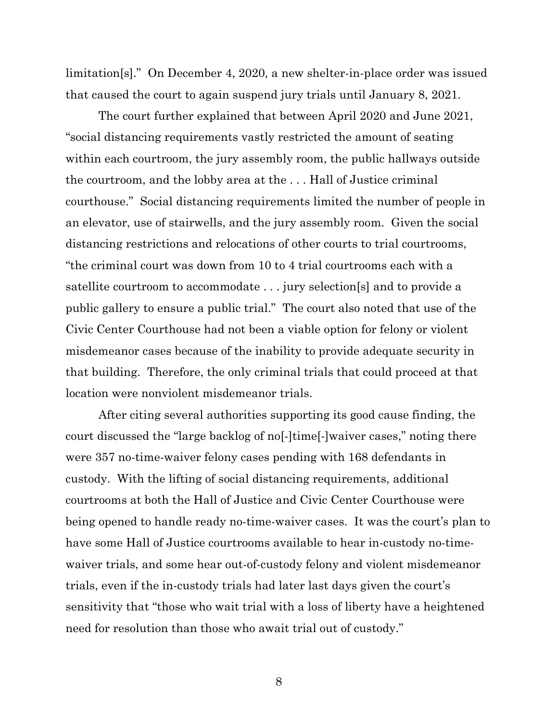limitation[s]." On December 4, 2020, a new shelter-in-place order was issued that caused the court to again suspend jury trials until January 8, 2021.

The court further explained that between April 2020 and June 2021, "social distancing requirements vastly restricted the amount of seating within each courtroom, the jury assembly room, the public hallways outside the courtroom, and the lobby area at the . . . Hall of Justice criminal courthouse." Social distancing requirements limited the number of people in an elevator, use of stairwells, and the jury assembly room. Given the social distancing restrictions and relocations of other courts to trial courtrooms, "the criminal court was down from 10 to 4 trial courtrooms each with a satellite courtroom to accommodate . . . jury selection[s] and to provide a public gallery to ensure a public trial." The court also noted that use of the Civic Center Courthouse had not been a viable option for felony or violent misdemeanor cases because of the inability to provide adequate security in that building. Therefore, the only criminal trials that could proceed at that location were nonviolent misdemeanor trials.

After citing several authorities supporting its good cause finding, the court discussed the "large backlog of no[-]time[-]waiver cases," noting there were 357 no-time-waiver felony cases pending with 168 defendants in custody. With the lifting of social distancing requirements, additional courtrooms at both the Hall of Justice and Civic Center Courthouse were being opened to handle ready no-time-waiver cases. It was the court's plan to have some Hall of Justice courtrooms available to hear in-custody no-timewaiver trials, and some hear out-of-custody felony and violent misdemeanor trials, even if the in-custody trials had later last days given the court's sensitivity that "those who wait trial with a loss of liberty have a heightened need for resolution than those who await trial out of custody."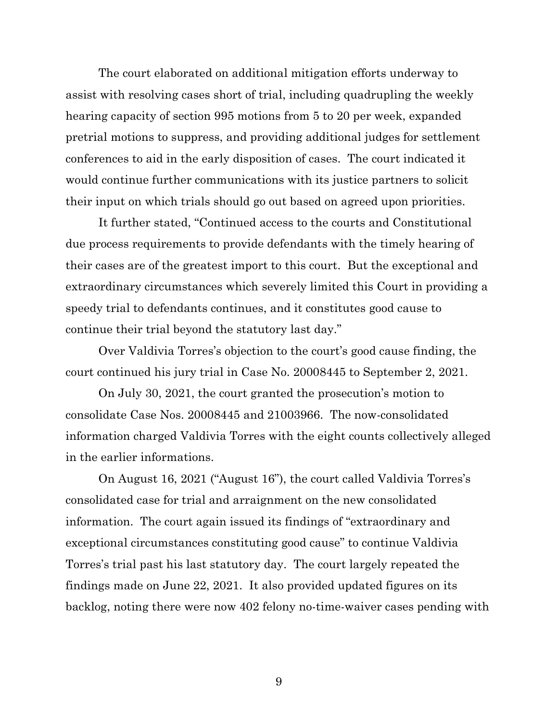The court elaborated on additional mitigation efforts underway to assist with resolving cases short of trial, including quadrupling the weekly hearing capacity of section 995 motions from 5 to 20 per week, expanded pretrial motions to suppress, and providing additional judges for settlement conferences to aid in the early disposition of cases. The court indicated it would continue further communications with its justice partners to solicit their input on which trials should go out based on agreed upon priorities.

It further stated, "Continued access to the courts and Constitutional due process requirements to provide defendants with the timely hearing of their cases are of the greatest import to this court. But the exceptional and extraordinary circumstances which severely limited this Court in providing a speedy trial to defendants continues, and it constitutes good cause to continue their trial beyond the statutory last day."

Over Valdivia Torres's objection to the court's good cause finding, the court continued his jury trial in Case No. 20008445 to September 2, 2021.

On July 30, 2021, the court granted the prosecution's motion to consolidate Case Nos. 20008445 and 21003966. The now-consolidated information charged Valdivia Torres with the eight counts collectively alleged in the earlier informations.

On August 16, 2021 ("August 16"), the court called Valdivia Torres's consolidated case for trial and arraignment on the new consolidated information. The court again issued its findings of "extraordinary and exceptional circumstances constituting good cause" to continue Valdivia Torres's trial past his last statutory day. The court largely repeated the findings made on June 22, 2021. It also provided updated figures on its backlog, noting there were now 402 felony no-time-waiver cases pending with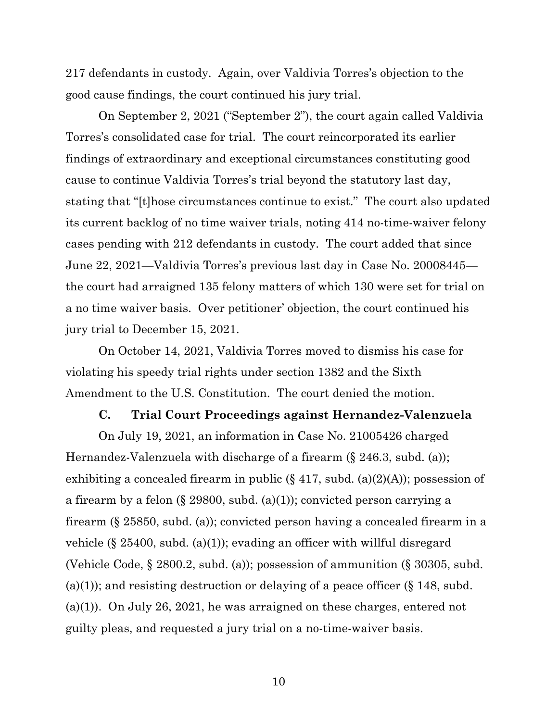217 defendants in custody. Again, over Valdivia Torres's objection to the good cause findings, the court continued his jury trial.

On September 2, 2021 ("September 2"), the court again called Valdivia Torres's consolidated case for trial. The court reincorporated its earlier findings of extraordinary and exceptional circumstances constituting good cause to continue Valdivia Torres's trial beyond the statutory last day, stating that "[t]hose circumstances continue to exist." The court also updated its current backlog of no time waiver trials, noting 414 no-time-waiver felony cases pending with 212 defendants in custody. The court added that since June 22, 2021—Valdivia Torres's previous last day in Case No. 20008445 the court had arraigned 135 felony matters of which 130 were set for trial on a no time waiver basis. Over petitioner' objection, the court continued his jury trial to December 15, 2021.

On October 14, 2021, Valdivia Torres moved to dismiss his case for violating his speedy trial rights under section 1382 and the Sixth Amendment to the U.S. Constitution. The court denied the motion.

#### **C. Trial Court Proceedings against Hernandez-Valenzuela**

On July 19, 2021, an information in Case No. 21005426 charged Hernandez-Valenzuela with discharge of a firearm (§ 246.3, subd. (a)); exhibiting a concealed firearm in public  $(\S 417, \text{subd.} (a)(2)(A))$ ; possession of a firearm by a felon (§ 29800, subd. (a)(1)); convicted person carrying a firearm (§ 25850, subd. (a)); convicted person having a concealed firearm in a vehicle (§ 25400, subd. (a)(1)); evading an officer with willful disregard (Vehicle Code, § 2800.2, subd. (a)); possession of ammunition (§ 30305, subd. (a)(1)); and resisting destruction or delaying of a peace officer  $(\S 148, \text{subd})$ . (a)(1)). On July 26, 2021, he was arraigned on these charges, entered not guilty pleas, and requested a jury trial on a no-time-waiver basis.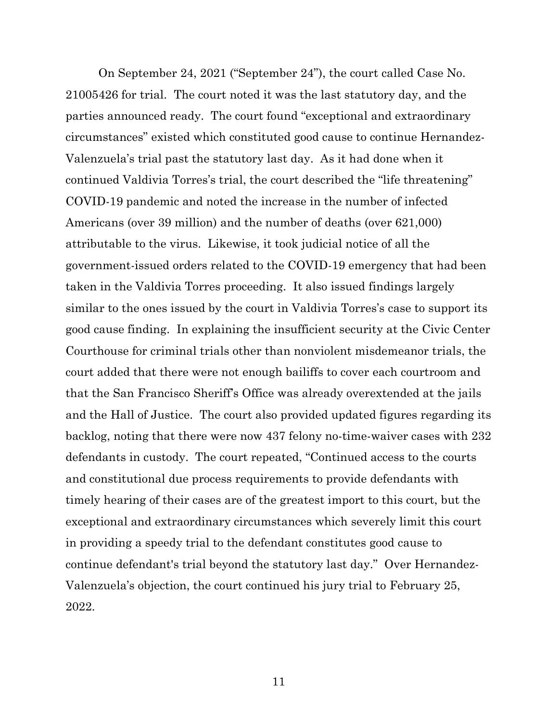On September 24, 2021 ("September 24"), the court called Case No. 21005426 for trial. The court noted it was the last statutory day, and the parties announced ready. The court found "exceptional and extraordinary circumstances" existed which constituted good cause to continue Hernandez-Valenzuela's trial past the statutory last day. As it had done when it continued Valdivia Torres's trial, the court described the "life threatening" COVID-19 pandemic and noted the increase in the number of infected Americans (over 39 million) and the number of deaths (over 621,000) attributable to the virus. Likewise, it took judicial notice of all the government-issued orders related to the COVID-19 emergency that had been taken in the Valdivia Torres proceeding. It also issued findings largely similar to the ones issued by the court in Valdivia Torres's case to support its good cause finding. In explaining the insufficient security at the Civic Center Courthouse for criminal trials other than nonviolent misdemeanor trials, the court added that there were not enough bailiffs to cover each courtroom and that the San Francisco Sheriff's Office was already overextended at the jails and the Hall of Justice. The court also provided updated figures regarding its backlog, noting that there were now 437 felony no-time-waiver cases with 232 defendants in custody. The court repeated, "Continued access to the courts and constitutional due process requirements to provide defendants with timely hearing of their cases are of the greatest import to this court, but the exceptional and extraordinary circumstances which severely limit this court in providing a speedy trial to the defendant constitutes good cause to continue defendant's trial beyond the statutory last day." Over Hernandez-Valenzuela's objection, the court continued his jury trial to February 25, 2022.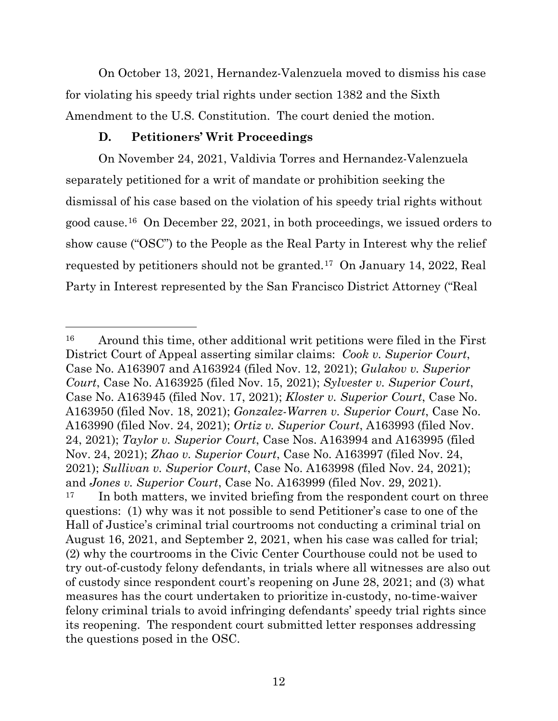On October 13, 2021, Hernandez-Valenzuela moved to dismiss his case for violating his speedy trial rights under section 1382 and the Sixth Amendment to the U.S. Constitution. The court denied the motion.

## **D. Petitioners' Writ Proceedings**

On November 24, 2021, Valdivia Torres and Hernandez-Valenzuela separately petitioned for a writ of mandate or prohibition seeking the dismissal of his case based on the violation of his speedy trial rights without good cause.[16](#page-11-0) On December 22, 2021, in both proceedings, we issued orders to show cause ("OSC") to the People as the Real Party in Interest why the relief requested by petitioners should not be granted.[17](#page-11-1) On January 14, 2022, Real Party in Interest represented by the San Francisco District Attorney ("Real

<span id="page-11-1"></span><span id="page-11-0"></span><sup>16</sup> Around this time, other additional writ petitions were filed in the First District Court of Appeal asserting similar claims: *Cook v. Superior Court*, Case No. A163907 and A163924 (filed Nov. 12, 2021); *Gulakov v. Superior Court*, Case No. A163925 (filed Nov. 15, 2021); *Sylvester v. Superior Court*, Case No. A163945 (filed Nov. 17, 2021); *Kloster v. Superior Court*, Case No. A163950 (filed Nov. 18, 2021); *Gonzalez-Warren v. Superior Court*, Case No. A163990 (filed Nov. 24, 2021); *Ortiz v. Superior Court*, A163993 (filed Nov. 24, 2021); *Taylor v. Superior Court*, Case Nos. A163994 and A163995 (filed Nov. 24, 2021); *Zhao v. Superior Court*, Case No. A163997 (filed Nov. 24, 2021); *Sullivan v. Superior Court*, Case No. A163998 (filed Nov. 24, 2021); and *Jones v. Superior Court*, Case No. A163999 (filed Nov. 29, 2021). <sup>17</sup> In both matters, we invited briefing from the respondent court on three questions: (1) why was it not possible to send Petitioner's case to one of the Hall of Justice's criminal trial courtrooms not conducting a criminal trial on August 16, 2021, and September 2, 2021, when his case was called for trial; (2) why the courtrooms in the Civic Center Courthouse could not be used to try out-of-custody felony defendants, in trials where all witnesses are also out of custody since respondent court's reopening on June 28, 2021; and (3) what measures has the court undertaken to prioritize in-custody, no-time-waiver felony criminal trials to avoid infringing defendants' speedy trial rights since its reopening. The respondent court submitted letter responses addressing the questions posed in the OSC.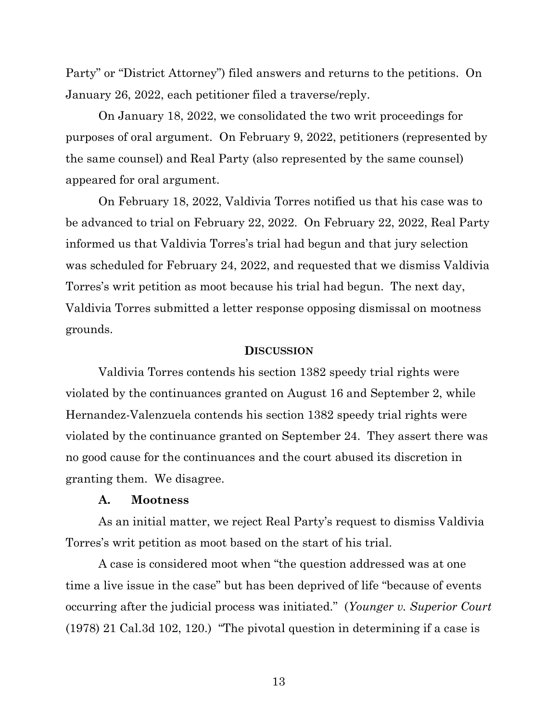Party" or "District Attorney") filed answers and returns to the petitions. On January 26, 2022, each petitioner filed a traverse/reply.

On January 18, 2022, we consolidated the two writ proceedings for purposes of oral argument. On February 9, 2022, petitioners (represented by the same counsel) and Real Party (also represented by the same counsel) appeared for oral argument.

On February 18, 2022, Valdivia Torres notified us that his case was to be advanced to trial on February 22, 2022. On February 22, 2022, Real Party informed us that Valdivia Torres's trial had begun and that jury selection was scheduled for February 24, 2022, and requested that we dismiss Valdivia Torres's writ petition as moot because his trial had begun. The next day, Valdivia Torres submitted a letter response opposing dismissal on mootness grounds.

#### **DISCUSSION**

Valdivia Torres contends his section 1382 speedy trial rights were violated by the continuances granted on August 16 and September 2, while Hernandez-Valenzuela contends his section 1382 speedy trial rights were violated by the continuance granted on September 24. They assert there was no good cause for the continuances and the court abused its discretion in granting them. We disagree.

#### **A. Mootness**

As an initial matter, we reject Real Party's request to dismiss Valdivia Torres's writ petition as moot based on the start of his trial.

A case is considered moot when "the question addressed was at one time a live issue in the case" but has been deprived of life "because of events occurring after the judicial process was initiated." (*Younger v. Superior Court* (1978) 21 Cal.3d 102, 120.) "The pivotal question in determining if a case is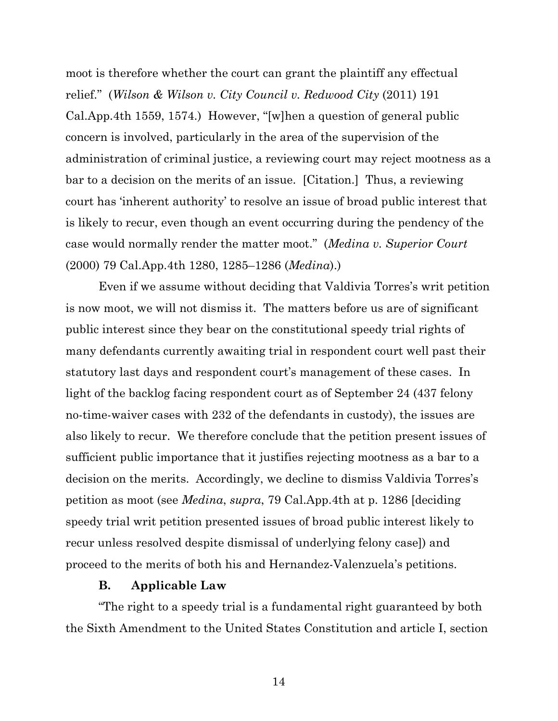moot is therefore whether the court can grant the plaintiff any effectual relief." (*Wilson & Wilson v. City Council v. Redwood City* (2011) 191 Cal.App.4th 1559, 1574.) However, "[w]hen a question of general public concern is involved, particularly in the area of the supervision of the administration of criminal justice, a reviewing court may reject mootness as a bar to a decision on the merits of an issue. [Citation.] Thus, a reviewing court has 'inherent authority' to resolve an issue of broad public interest that is likely to recur, even though an event occurring during the pendency of the case would normally render the matter moot." (*Medina v. Superior Court* (2000) 79 Cal.App.4th 1280, 1285–1286 (*Medina*).)

Even if we assume without deciding that Valdivia Torres's writ petition is now moot, we will not dismiss it. The matters before us are of significant public interest since they bear on the constitutional speedy trial rights of many defendants currently awaiting trial in respondent court well past their statutory last days and respondent court's management of these cases. In light of the backlog facing respondent court as of September 24 (437 felony no-time-waiver cases with 232 of the defendants in custody), the issues are also likely to recur. We therefore conclude that the petition present issues of sufficient public importance that it justifies rejecting mootness as a bar to a decision on the merits. Accordingly, we decline to dismiss Valdivia Torres's petition as moot (see *Medina*, *supra*, 79 Cal.App.4th at p. 1286 [deciding speedy trial writ petition presented issues of broad public interest likely to recur unless resolved despite dismissal of underlying felony case]) and proceed to the merits of both his and Hernandez-Valenzuela's petitions.

### **B. Applicable Law**

"The right to a speedy trial is a fundamental right guaranteed by both the Sixth Amendment to the United States Constitution and article I, section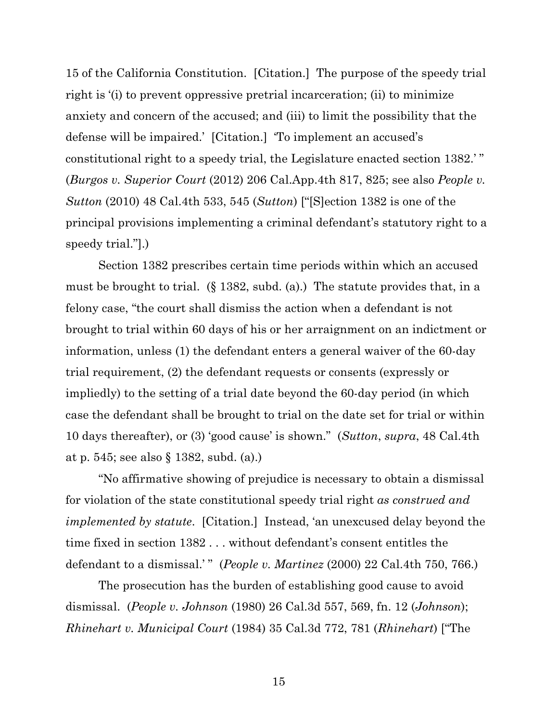15 of the California Constitution. [Citation.] The purpose of the speedy trial right is '(i) to prevent oppressive pretrial incarceration; (ii) to minimize anxiety and concern of the accused; and (iii) to limit the possibility that the defense will be impaired.' [Citation.] 'To implement an accused's constitutional right to a speedy trial, the Legislature enacted section 1382.' " (*Burgos v. Superior Court* (2012) 206 Cal.App.4th 817, 825; see also *People v. Sutton* (2010) 48 Cal.4th 533, 545 (*Sutton*) ["[S]ection 1382 is one of the principal provisions implementing a criminal defendant's statutory right to a speedy trial."].)

Section 1382 prescribes certain time periods within which an accused must be brought to trial. (§ 1382, subd. (a).) The statute provides that, in a felony case, "the court shall dismiss the action when a defendant is not brought to trial within 60 days of his or her arraignment on an indictment or information, unless (1) the defendant enters a general waiver of the 60-day trial requirement, (2) the defendant requests or consents (expressly or impliedly) to the setting of a trial date beyond the 60-day period (in which case the defendant shall be brought to trial on the date set for trial or within 10 days thereafter), or (3) 'good cause' is shown." (*Sutton*, *supra*, 48 Cal.4th at p. 545; see also § 1382, subd. (a).)

"No affirmative showing of prejudice is necessary to obtain a dismissal for violation of the state constitutional speedy trial right *as construed and implemented by statute*. [Citation.] Instead, 'an unexcused delay beyond the time fixed in section 1382 . . . without defendant's consent entitles the defendant to a dismissal.' " (*People v. Martinez* (2000) 22 Cal.4th 750, 766.)

The prosecution has the burden of establishing good cause to avoid dismissal. (*People v. Johnson* (1980) 26 Cal.3d 557, 569, fn. 12 (*Johnson*); *Rhinehart v. Municipal Court* (1984) 35 Cal.3d 772, 781 (*Rhinehart*) ["The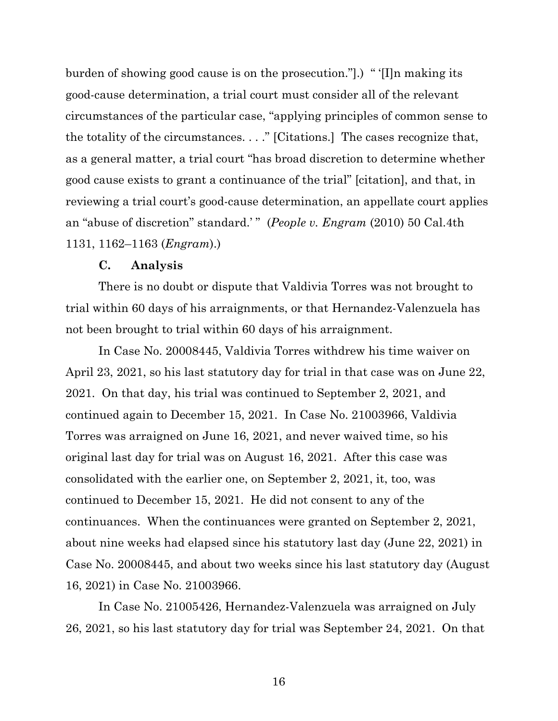burden of showing good cause is on the prosecution."].) " '[I]n making its good-cause determination, a trial court must consider all of the relevant circumstances of the particular case, "applying principles of common sense to the totality of the circumstances. . . ." [Citations.] The cases recognize that, as a general matter, a trial court "has broad discretion to determine whether good cause exists to grant a continuance of the trial" [citation], and that, in reviewing a trial court's good-cause determination, an appellate court applies an "abuse of discretion" standard.' " (*People v. Engram* (2010) 50 Cal.4th 1131, 1162–1163 (*Engram*).)

#### **C. Analysis**

There is no doubt or dispute that Valdivia Torres was not brought to trial within 60 days of his arraignments, or that Hernandez-Valenzuela has not been brought to trial within 60 days of his arraignment.

In Case No. 20008445, Valdivia Torres withdrew his time waiver on April 23, 2021, so his last statutory day for trial in that case was on June 22, 2021. On that day, his trial was continued to September 2, 2021, and continued again to December 15, 2021. In Case No. 21003966, Valdivia Torres was arraigned on June 16, 2021, and never waived time, so his original last day for trial was on August 16, 2021. After this case was consolidated with the earlier one, on September 2, 2021, it, too, was continued to December 15, 2021. He did not consent to any of the continuances. When the continuances were granted on September 2, 2021, about nine weeks had elapsed since his statutory last day (June 22, 2021) in Case No. 20008445, and about two weeks since his last statutory day (August 16, 2021) in Case No. 21003966.

In Case No. 21005426, Hernandez-Valenzuela was arraigned on July 26, 2021, so his last statutory day for trial was September 24, 2021. On that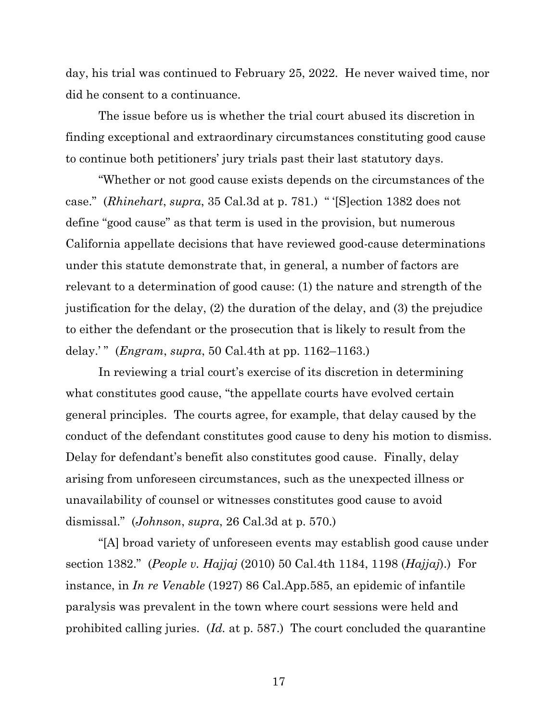day, his trial was continued to February 25, 2022. He never waived time, nor did he consent to a continuance.

The issue before us is whether the trial court abused its discretion in finding exceptional and extraordinary circumstances constituting good cause to continue both petitioners' jury trials past their last statutory days.

"Whether or not good cause exists depends on the circumstances of the case." (*Rhinehart*, *supra*, 35 Cal.3d at p. 781.) " '[S]ection 1382 does not define "good cause" as that term is used in the provision, but numerous California appellate decisions that have reviewed good-cause determinations under this statute demonstrate that, in general, a number of factors are relevant to a determination of good cause: (1) the nature and strength of the justification for the delay, (2) the duration of the delay, and (3) the prejudice to either the defendant or the prosecution that is likely to result from the delay.' " (*Engram*, *supra*, 50 Cal.4th at pp. 1162–1163.)

In reviewing a trial court's exercise of its discretion in determining what constitutes good cause, "the appellate courts have evolved certain general principles. The courts agree, for example, that delay caused by the conduct of the defendant constitutes good cause to deny his motion to dismiss. Delay for defendant's benefit also constitutes good cause. Finally, delay arising from unforeseen circumstances, such as the unexpected illness or unavailability of counsel or witnesses constitutes good cause to avoid dismissal." (*Johnson*, *supra*, 26 Cal.3d at p. 570.)

"[A] broad variety of unforeseen events may establish good cause under section 1382." (*People v. Hajjaj* (2010) 50 Cal.4th 1184, 1198 (*Hajjaj*).) For instance, in *In re Venable* (1927) 86 Cal.App.585, an epidemic of infantile paralysis was prevalent in the town where court sessions were held and prohibited calling juries. (*Id.* at p. 587.) The court concluded the quarantine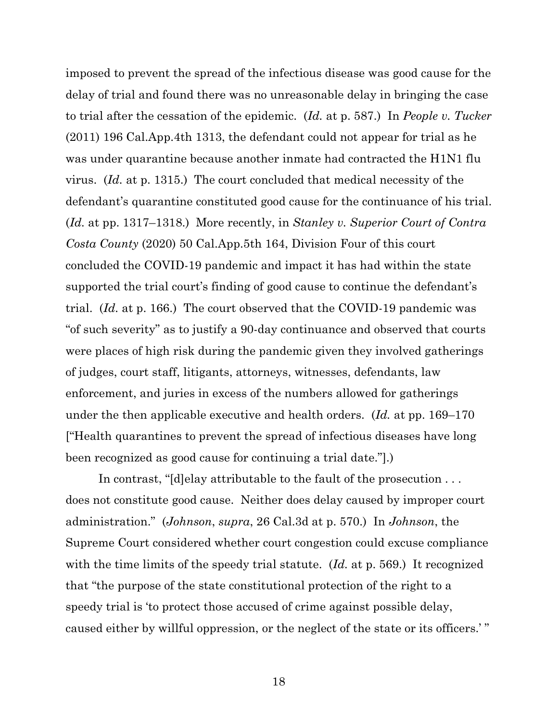imposed to prevent the spread of the infectious disease was good cause for the delay of trial and found there was no unreasonable delay in bringing the case to trial after the cessation of the epidemic. (*Id.* at p. 587.) In *People v. Tucker*  (2011) 196 Cal.App.4th 1313, the defendant could not appear for trial as he was under quarantine because another inmate had contracted the H1N1 flu virus. (*Id.* at p. 1315.) The court concluded that medical necessity of the defendant's quarantine constituted good cause for the continuance of his trial. (*Id.* at pp. 1317–1318.) More recently, in *Stanley v. Superior Court of Contra Costa County* (2020) 50 Cal.App.5th 164, Division Four of this court concluded the COVID-19 pandemic and impact it has had within the state supported the trial court's finding of good cause to continue the defendant's trial. (*Id.* at p. 166.) The court observed that the COVID-19 pandemic was "of such severity" as to justify a 90-day continuance and observed that courts were places of high risk during the pandemic given they involved gatherings of judges, court staff, litigants, attorneys, witnesses, defendants, law enforcement, and juries in excess of the numbers allowed for gatherings under the then applicable executive and health orders. (*Id.* at pp. 169–170 ["Health quarantines to prevent the spread of infectious diseases have long been recognized as good cause for continuing a trial date."].)

In contrast, "[d]elay attributable to the fault of the prosecution . . . does not constitute good cause. Neither does delay caused by improper court administration." (*Johnson*, *supra*, 26 Cal.3d at p. 570.) In *Johnson*, the Supreme Court considered whether court congestion could excuse compliance with the time limits of the speedy trial statute. (*Id.* at p. 569.) It recognized that "the purpose of the state constitutional protection of the right to a speedy trial is 'to protect those accused of crime against possible delay, caused either by willful oppression, or the neglect of the state or its officers.' "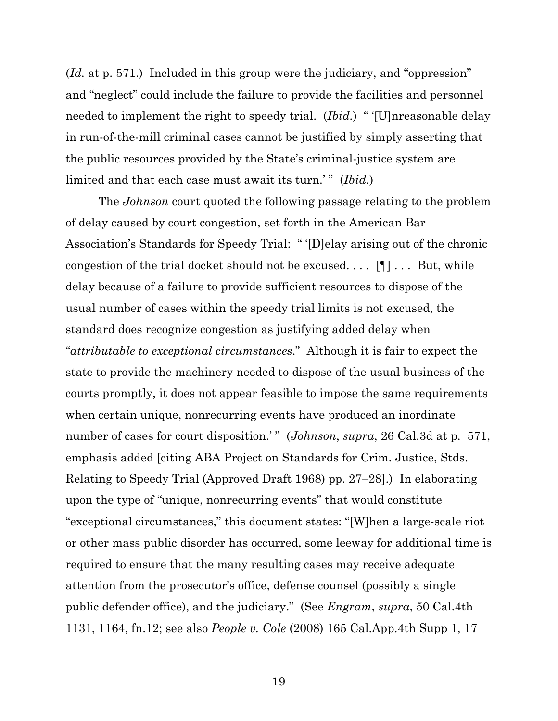(*Id.* at p. 571.) Included in this group were the judiciary, and "oppression" and "neglect" could include the failure to provide the facilities and personnel needed to implement the right to speedy trial. (*Ibid.*) " '[U]nreasonable delay in run-of-the-mill criminal cases cannot be justified by simply asserting that the public resources provided by the State's criminal-justice system are limited and that each case must await its turn.'" (*Ibid.*)

The *Johnson* court quoted the following passage relating to the problem of delay caused by court congestion, set forth in the American Bar Association's Standards for Speedy Trial: " '[D]elay arising out of the chronic congestion of the trial docket should not be excused. . . . [¶] . . . But, while delay because of a failure to provide sufficient resources to dispose of the usual number of cases within the speedy trial limits is not excused, the standard does recognize congestion as justifying added delay when "*attributable to exceptional circumstances*." Although it is fair to expect the state to provide the machinery needed to dispose of the usual business of the courts promptly, it does not appear feasible to impose the same requirements when certain unique, nonrecurring events have produced an inordinate number of cases for court disposition.'" (*Johnson*, *supra*, 26 Cal.3d at p. 571, emphasis added [citing ABA Project on Standards for Crim. Justice, Stds. Relating to Speedy Trial (Approved Draft 1968) pp. 27–28].) In elaborating upon the type of "unique, nonrecurring events" that would constitute "exceptional circumstances," this document states: "[W]hen a large-scale riot or other mass public disorder has occurred, some leeway for additional time is required to ensure that the many resulting cases may receive adequate attention from the prosecutor's office, defense counsel (possibly a single public defender office), and the judiciary." (See *Engram*, *supra*, 50 Cal.4th 1131, 1164, fn.12; see also *People v. Cole* (2008) 165 Cal.App.4th Supp 1, 17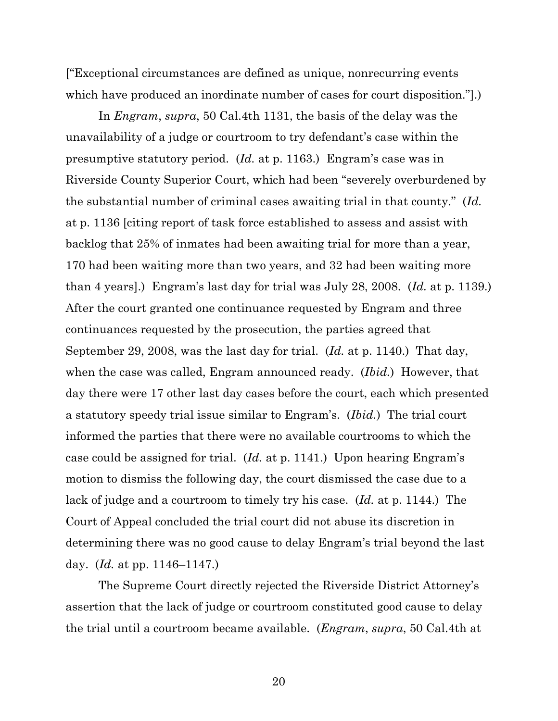["Exceptional circumstances are defined as unique, nonrecurring events which have produced an inordinate number of cases for court disposition.".)

In *Engram*, *supra*, 50 Cal.4th 1131, the basis of the delay was the unavailability of a judge or courtroom to try defendant's case within the presumptive statutory period. (*Id.* at p. 1163.) Engram's case was in Riverside County Superior Court, which had been "severely overburdened by the substantial number of criminal cases awaiting trial in that county." (*Id.*  at p. 1136 [citing report of task force established to assess and assist with backlog that 25% of inmates had been awaiting trial for more than a year, 170 had been waiting more than two years, and 32 had been waiting more than 4 years].) Engram's last day for trial was July 28, 2008. (*Id.* at p. 1139.) After the court granted one continuance requested by Engram and three continuances requested by the prosecution, the parties agreed that September 29, 2008, was the last day for trial. (*Id.* at p. 1140.) That day, when the case was called, Engram announced ready. (*Ibid.*) However, that day there were 17 other last day cases before the court, each which presented a statutory speedy trial issue similar to Engram's. (*Ibid.*) The trial court informed the parties that there were no available courtrooms to which the case could be assigned for trial. (*Id.* at p. 1141.) Upon hearing Engram's motion to dismiss the following day, the court dismissed the case due to a lack of judge and a courtroom to timely try his case. (*Id.* at p. 1144.) The Court of Appeal concluded the trial court did not abuse its discretion in determining there was no good cause to delay Engram's trial beyond the last day. (*Id.* at pp. 1146–1147.)

The Supreme Court directly rejected the Riverside District Attorney's assertion that the lack of judge or courtroom constituted good cause to delay the trial until a courtroom became available. (*Engram*, *supra*, 50 Cal.4th at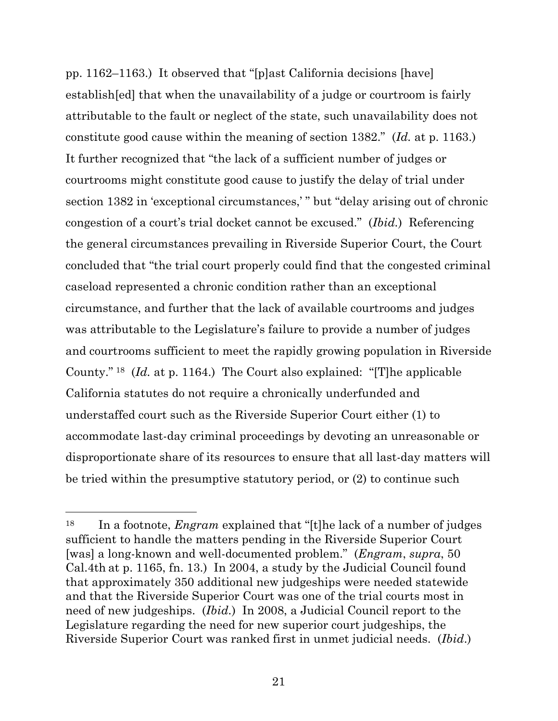pp. 1162–1163.) It observed that "[p]ast California decisions [have] establish[ed] that when the unavailability of a judge or courtroom is fairly attributable to the fault or neglect of the state, such unavailability does not constitute good cause within the meaning of section 1382." (*Id.* at p. 1163.) It further recognized that "the lack of a sufficient number of judges or courtrooms might constitute good cause to justify the delay of trial under section 1382 in 'exceptional circumstances,' " but "delay arising out of chronic congestion of a court's trial docket cannot be excused." (*Ibid.*) Referencing the general circumstances prevailing in Riverside Superior Court, the Court concluded that "the trial court properly could find that the congested criminal caseload represented a chronic condition rather than an exceptional circumstance, and further that the lack of available courtrooms and judges was attributable to the Legislature's failure to provide a number of judges and courtrooms sufficient to meet the rapidly growing population in Riverside County." [18](#page-20-0) (*Id.* at p. 1164.) The Court also explained: "[T]he applicable California statutes do not require a chronically underfunded and understaffed court such as the Riverside Superior Court either (1) to accommodate last-day criminal proceedings by devoting an unreasonable or disproportionate share of its resources to ensure that all last-day matters will be tried within the presumptive statutory period, or (2) to continue such

<span id="page-20-0"></span><sup>18</sup> In a footnote, *Engram* explained that "[t]he lack of a number of judges sufficient to handle the matters pending in the Riverside Superior Court [was] a long-known and well-documented problem." (*Engram*, *supra*, 50 Cal.4th at p. 1165, fn. 13.) In 2004, a study by the Judicial Council found that approximately 350 additional new judgeships were needed statewide and that the Riverside Superior Court was one of the trial courts most in need of new judgeships. (*Ibid.*) In 2008, a Judicial Council report to the Legislature regarding the need for new superior court judgeships, the Riverside Superior Court was ranked first in unmet judicial needs. (*Ibid*.)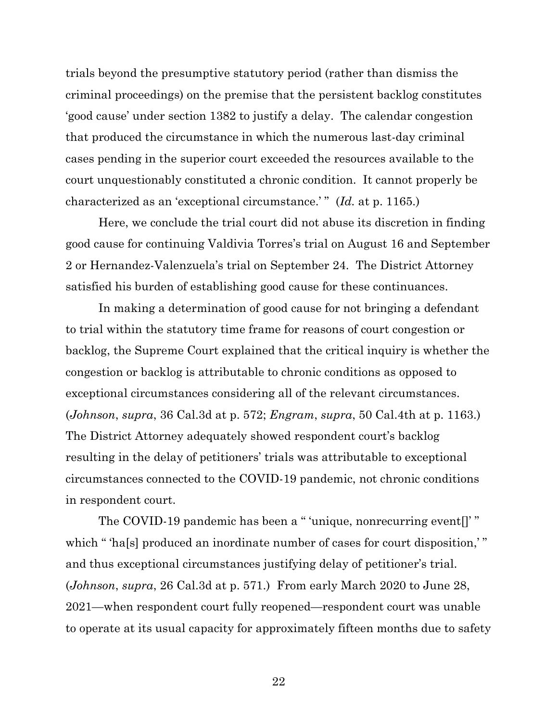trials beyond the presumptive statutory period (rather than dismiss the criminal proceedings) on the premise that the persistent backlog constitutes 'good cause' under section 1382 to justify a delay. The calendar congestion that produced the circumstance in which the numerous last-day criminal cases pending in the superior court exceeded the resources available to the court unquestionably constituted a chronic condition. It cannot properly be characterized as an 'exceptional circumstance.' " (*Id.* at p. 1165.)

Here, we conclude the trial court did not abuse its discretion in finding good cause for continuing Valdivia Torres's trial on August 16 and September 2 or Hernandez-Valenzuela's trial on September 24. The District Attorney satisfied his burden of establishing good cause for these continuances.

In making a determination of good cause for not bringing a defendant to trial within the statutory time frame for reasons of court congestion or backlog, the Supreme Court explained that the critical inquiry is whether the congestion or backlog is attributable to chronic conditions as opposed to exceptional circumstances considering all of the relevant circumstances. (*Johnson*, *supra*, 36 Cal.3d at p. 572; *Engram*, *supra*, 50 Cal.4th at p. 1163.) The District Attorney adequately showed respondent court's backlog resulting in the delay of petitioners' trials was attributable to exceptional circumstances connected to the COVID-19 pandemic, not chronic conditions in respondent court.

The COVID-19 pandemic has been a " 'unique, nonrecurring event." which " 'ha[s] produced an inordinate number of cases for court disposition,'" and thus exceptional circumstances justifying delay of petitioner's trial. (*Johnson*, *supra*, 26 Cal.3d at p. 571.) From early March 2020 to June 28, 2021—when respondent court fully reopened—respondent court was unable to operate at its usual capacity for approximately fifteen months due to safety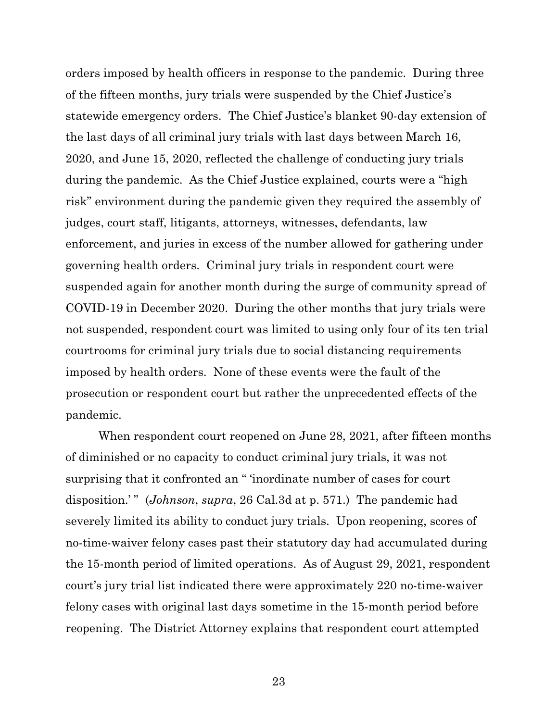orders imposed by health officers in response to the pandemic. During three of the fifteen months, jury trials were suspended by the Chief Justice's statewide emergency orders. The Chief Justice's blanket 90-day extension of the last days of all criminal jury trials with last days between March 16, 2020, and June 15, 2020, reflected the challenge of conducting jury trials during the pandemic. As the Chief Justice explained, courts were a "high risk" environment during the pandemic given they required the assembly of judges, court staff, litigants, attorneys, witnesses, defendants, law enforcement, and juries in excess of the number allowed for gathering under governing health orders. Criminal jury trials in respondent court were suspended again for another month during the surge of community spread of COVID-19 in December 2020. During the other months that jury trials were not suspended, respondent court was limited to using only four of its ten trial courtrooms for criminal jury trials due to social distancing requirements imposed by health orders. None of these events were the fault of the prosecution or respondent court but rather the unprecedented effects of the pandemic.

When respondent court reopened on June 28, 2021, after fifteen months of diminished or no capacity to conduct criminal jury trials, it was not surprising that it confronted an " 'inordinate number of cases for court disposition.'" (*Johnson*, *supra*, 26 Cal.3d at p. 571.) The pandemic had severely limited its ability to conduct jury trials. Upon reopening, scores of no-time-waiver felony cases past their statutory day had accumulated during the 15-month period of limited operations. As of August 29, 2021, respondent court's jury trial list indicated there were approximately 220 no-time-waiver felony cases with original last days sometime in the 15-month period before reopening. The District Attorney explains that respondent court attempted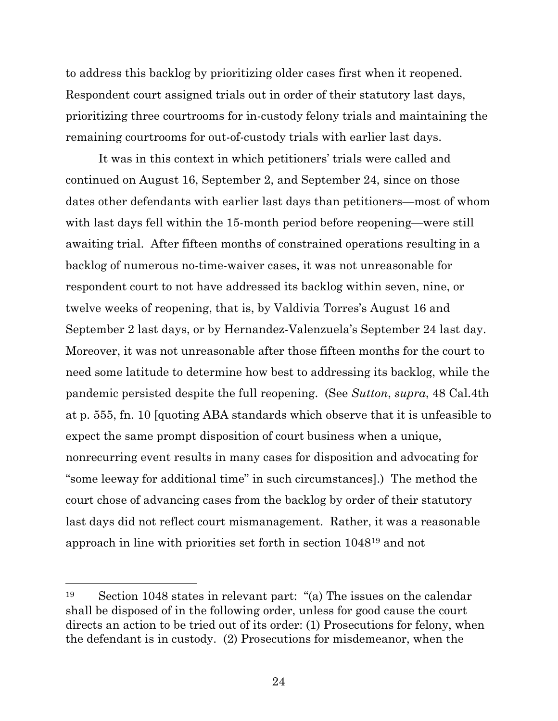to address this backlog by prioritizing older cases first when it reopened. Respondent court assigned trials out in order of their statutory last days, prioritizing three courtrooms for in-custody felony trials and maintaining the remaining courtrooms for out-of-custody trials with earlier last days.

It was in this context in which petitioners' trials were called and continued on August 16, September 2, and September 24, since on those dates other defendants with earlier last days than petitioners—most of whom with last days fell within the 15-month period before reopening—were still awaiting trial. After fifteen months of constrained operations resulting in a backlog of numerous no-time-waiver cases, it was not unreasonable for respondent court to not have addressed its backlog within seven, nine, or twelve weeks of reopening, that is, by Valdivia Torres's August 16 and September 2 last days, or by Hernandez-Valenzuela's September 24 last day. Moreover, it was not unreasonable after those fifteen months for the court to need some latitude to determine how best to addressing its backlog, while the pandemic persisted despite the full reopening. (See *Sutton*, *supra*, 48 Cal.4th at p. 555, fn. 10 [quoting ABA standards which observe that it is unfeasible to expect the same prompt disposition of court business when a unique, nonrecurring event results in many cases for disposition and advocating for "some leeway for additional time" in such circumstances].) The method the court chose of advancing cases from the backlog by order of their statutory last days did not reflect court mismanagement. Rather, it was a reasonable approach in line with priorities set forth in section 1048[19](#page-23-0) and not

<span id="page-23-0"></span><sup>19</sup> Section 1048 states in relevant part: "(a) The issues on the calendar shall be disposed of in the following order, unless for good cause the court directs an action to be tried out of its order: (1) Prosecutions for felony, when the defendant is in custody. (2) Prosecutions for misdemeanor, when the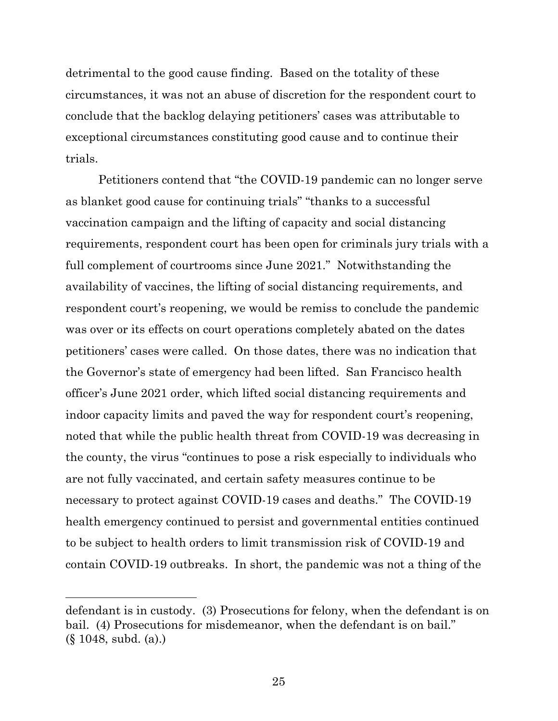detrimental to the good cause finding. Based on the totality of these circumstances, it was not an abuse of discretion for the respondent court to conclude that the backlog delaying petitioners' cases was attributable to exceptional circumstances constituting good cause and to continue their trials.

Petitioners contend that "the COVID-19 pandemic can no longer serve as blanket good cause for continuing trials" "thanks to a successful vaccination campaign and the lifting of capacity and social distancing requirements, respondent court has been open for criminals jury trials with a full complement of courtrooms since June 2021." Notwithstanding the availability of vaccines, the lifting of social distancing requirements, and respondent court's reopening, we would be remiss to conclude the pandemic was over or its effects on court operations completely abated on the dates petitioners' cases were called. On those dates, there was no indication that the Governor's state of emergency had been lifted. San Francisco health officer's June 2021 order, which lifted social distancing requirements and indoor capacity limits and paved the way for respondent court's reopening, noted that while the public health threat from COVID-19 was decreasing in the county, the virus "continues to pose a risk especially to individuals who are not fully vaccinated, and certain safety measures continue to be necessary to protect against COVID-19 cases and deaths." The COVID-19 health emergency continued to persist and governmental entities continued to be subject to health orders to limit transmission risk of COVID-19 and contain COVID-19 outbreaks. In short, the pandemic was not a thing of the

defendant is in custody. (3) Prosecutions for felony, when the defendant is on bail. (4) Prosecutions for misdemeanor, when the defendant is on bail." (§ 1048, subd. (a).)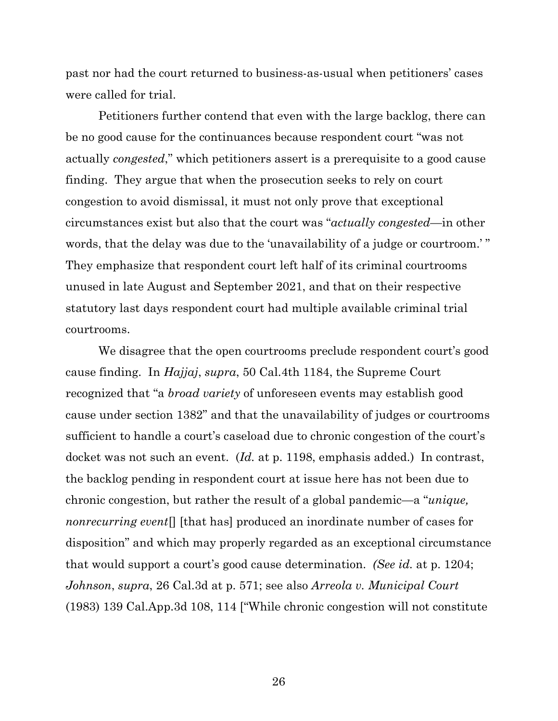past nor had the court returned to business-as-usual when petitioners' cases were called for trial.

Petitioners further contend that even with the large backlog, there can be no good cause for the continuances because respondent court "was not actually *congested*," which petitioners assert is a prerequisite to a good cause finding. They argue that when the prosecution seeks to rely on court congestion to avoid dismissal, it must not only prove that exceptional circumstances exist but also that the court was "*actually congested*—in other words, that the delay was due to the 'unavailability of a judge or courtroom.' " They emphasize that respondent court left half of its criminal courtrooms unused in late August and September 2021, and that on their respective statutory last days respondent court had multiple available criminal trial courtrooms.

We disagree that the open courtrooms preclude respondent court's good cause finding. In *Hajjaj*, *supra*, 50 Cal.4th 1184, the Supreme Court recognized that "a *broad variety* of unforeseen events may establish good cause under section 1382" and that the unavailability of judges or courtrooms sufficient to handle a court's caseload due to chronic congestion of the court's docket was not such an event. (*Id.* at p. 1198, emphasis added.) In contrast, the backlog pending in respondent court at issue here has not been due to chronic congestion, but rather the result of a global pandemic—a "*unique, nonrecurring event*[] [that has] produced an inordinate number of cases for disposition" and which may properly regarded as an exceptional circumstance that would support a court's good cause determination. *(See id.* at p. 1204; *Johnson*, *supra*, 26 Cal.3d at p. 571; see also *Arreola v. Municipal Court* (1983) 139 Cal.App.3d 108, 114 ["While chronic congestion will not constitute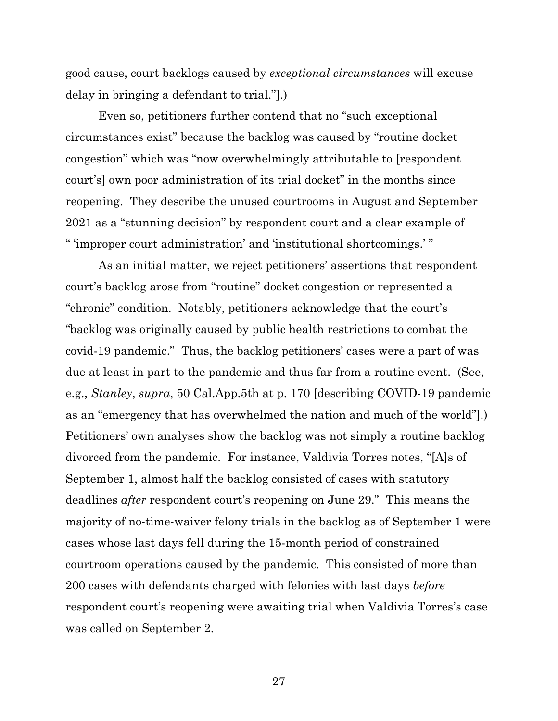good cause, court backlogs caused by *exceptional circumstances* will excuse delay in bringing a defendant to trial."].)

Even so, petitioners further contend that no "such exceptional circumstances exist" because the backlog was caused by "routine docket congestion" which was "now overwhelmingly attributable to [respondent court's] own poor administration of its trial docket" in the months since reopening. They describe the unused courtrooms in August and September 2021 as a "stunning decision" by respondent court and a clear example of " 'improper court administration' and 'institutional shortcomings.' "

As an initial matter, we reject petitioners' assertions that respondent court's backlog arose from "routine" docket congestion or represented a "chronic" condition. Notably, petitioners acknowledge that the court's "backlog was originally caused by public health restrictions to combat the covid-19 pandemic." Thus, the backlog petitioners' cases were a part of was due at least in part to the pandemic and thus far from a routine event. (See, e.g., *Stanley*, *supra*, 50 Cal.App.5th at p. 170 [describing COVID-19 pandemic as an "emergency that has overwhelmed the nation and much of the world"].) Petitioners' own analyses show the backlog was not simply a routine backlog divorced from the pandemic. For instance, Valdivia Torres notes, "[A]s of September 1, almost half the backlog consisted of cases with statutory deadlines *after* respondent court's reopening on June 29." This means the majority of no-time-waiver felony trials in the backlog as of September 1 were cases whose last days fell during the 15-month period of constrained courtroom operations caused by the pandemic. This consisted of more than 200 cases with defendants charged with felonies with last days *before*  respondent court's reopening were awaiting trial when Valdivia Torres's case was called on September 2.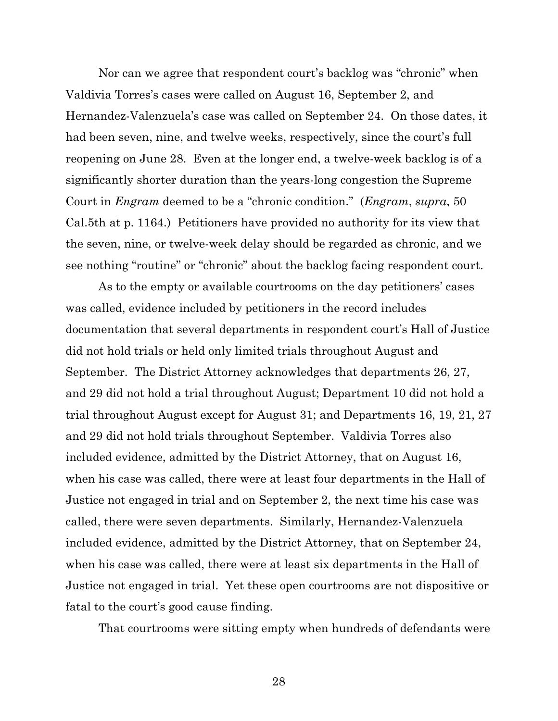Nor can we agree that respondent court's backlog was "chronic" when Valdivia Torres's cases were called on August 16, September 2, and Hernandez-Valenzuela's case was called on September 24. On those dates, it had been seven, nine, and twelve weeks, respectively, since the court's full reopening on June 28. Even at the longer end, a twelve-week backlog is of a significantly shorter duration than the years-long congestion the Supreme Court in *Engram* deemed to be a "chronic condition." (*Engram*, *supra*, 50 Cal.5th at p. 1164.) Petitioners have provided no authority for its view that the seven, nine, or twelve-week delay should be regarded as chronic, and we see nothing "routine" or "chronic" about the backlog facing respondent court.

As to the empty or available courtrooms on the day petitioners' cases was called, evidence included by petitioners in the record includes documentation that several departments in respondent court's Hall of Justice did not hold trials or held only limited trials throughout August and September. The District Attorney acknowledges that departments 26, 27, and 29 did not hold a trial throughout August; Department 10 did not hold a trial throughout August except for August 31; and Departments 16, 19, 21, 27 and 29 did not hold trials throughout September. Valdivia Torres also included evidence, admitted by the District Attorney, that on August 16, when his case was called, there were at least four departments in the Hall of Justice not engaged in trial and on September 2, the next time his case was called, there were seven departments. Similarly, Hernandez-Valenzuela included evidence, admitted by the District Attorney, that on September 24, when his case was called, there were at least six departments in the Hall of Justice not engaged in trial. Yet these open courtrooms are not dispositive or fatal to the court's good cause finding.

That courtrooms were sitting empty when hundreds of defendants were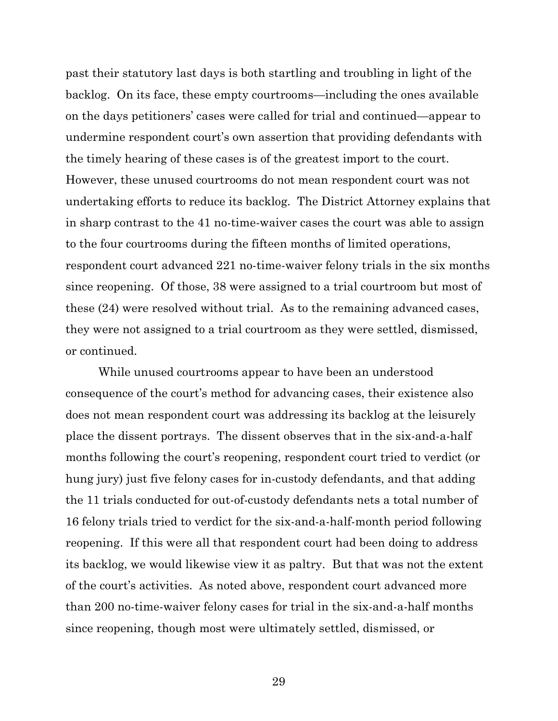past their statutory last days is both startling and troubling in light of the backlog. On its face, these empty courtrooms—including the ones available on the days petitioners' cases were called for trial and continued—appear to undermine respondent court's own assertion that providing defendants with the timely hearing of these cases is of the greatest import to the court. However, these unused courtrooms do not mean respondent court was not undertaking efforts to reduce its backlog. The District Attorney explains that in sharp contrast to the 41 no-time-waiver cases the court was able to assign to the four courtrooms during the fifteen months of limited operations, respondent court advanced 221 no-time-waiver felony trials in the six months since reopening. Of those, 38 were assigned to a trial courtroom but most of these (24) were resolved without trial. As to the remaining advanced cases, they were not assigned to a trial courtroom as they were settled, dismissed, or continued.

While unused courtrooms appear to have been an understood consequence of the court's method for advancing cases, their existence also does not mean respondent court was addressing its backlog at the leisurely place the dissent portrays. The dissent observes that in the six-and-a-half months following the court's reopening, respondent court tried to verdict (or hung jury) just five felony cases for in-custody defendants, and that adding the 11 trials conducted for out-of-custody defendants nets a total number of 16 felony trials tried to verdict for the six-and-a-half-month period following reopening. If this were all that respondent court had been doing to address its backlog, we would likewise view it as paltry. But that was not the extent of the court's activities. As noted above, respondent court advanced more than 200 no-time-waiver felony cases for trial in the six-and-a-half months since reopening, though most were ultimately settled, dismissed, or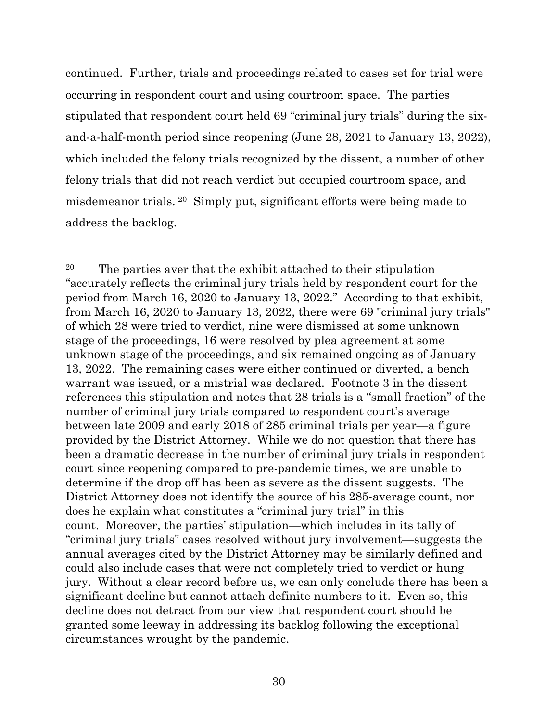continued. Further, trials and proceedings related to cases set for trial were occurring in respondent court and using courtroom space. The parties stipulated that respondent court held 69 "criminal jury trials" during the sixand-a-half-month period since reopening (June 28, 2021 to January 13, 2022), which included the felony trials recognized by the dissent, a number of other felony trials that did not reach verdict but occupied courtroom space, and misdemeanor trials. [20](#page-29-0) Simply put, significant efforts were being made to address the backlog.

<span id="page-29-0"></span><sup>20</sup> The parties aver that the exhibit attached to their stipulation "accurately reflects the criminal jury trials held by respondent court for the period from March 16, 2020 to January 13, 2022." According to that exhibit, from March 16, 2020 to January 13, 2022, there were 69 "criminal jury trials" of which 28 were tried to verdict, nine were dismissed at some unknown stage of the proceedings, 16 were resolved by plea agreement at some unknown stage of the proceedings, and six remained ongoing as of January 13, 2022. The remaining cases were either continued or diverted, a bench warrant was issued, or a mistrial was declared. Footnote 3 in the dissent references this stipulation and notes that 28 trials is a "small fraction" of the number of criminal jury trials compared to respondent court's average between late 2009 and early 2018 of 285 criminal trials per year—a figure provided by the District Attorney. While we do not question that there has been a dramatic decrease in the number of criminal jury trials in respondent court since reopening compared to pre-pandemic times, we are unable to determine if the drop off has been as severe as the dissent suggests. The District Attorney does not identify the source of his 285-average count, nor does he explain what constitutes a "criminal jury trial" in this count. Moreover, the parties' stipulation—which includes in its tally of "criminal jury trials" cases resolved without jury involvement—suggests the annual averages cited by the District Attorney may be similarly defined and could also include cases that were not completely tried to verdict or hung jury. Without a clear record before us, we can only conclude there has been a significant decline but cannot attach definite numbers to it. Even so, this decline does not detract from our view that respondent court should be granted some leeway in addressing its backlog following the exceptional circumstances wrought by the pandemic.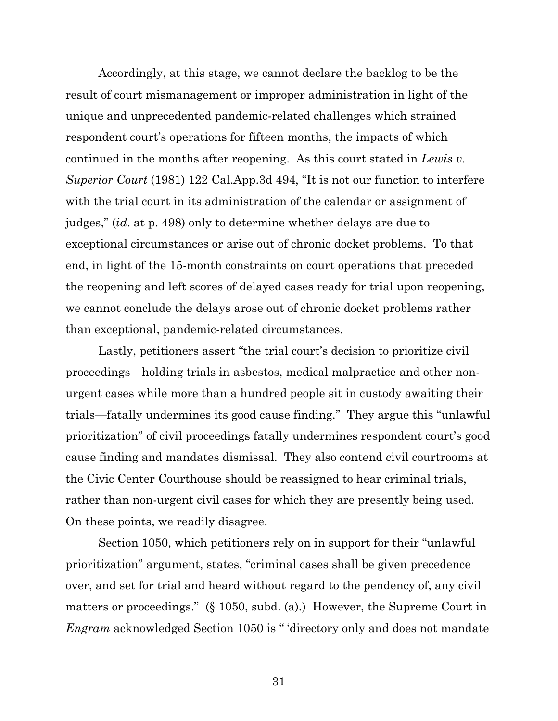Accordingly, at this stage, we cannot declare the backlog to be the result of court mismanagement or improper administration in light of the unique and unprecedented pandemic-related challenges which strained respondent court's operations for fifteen months, the impacts of which continued in the months after reopening. As this court stated in *Lewis v. Superior Court* (1981) 122 Cal.App.3d 494, "It is not our function to interfere with the trial court in its administration of the calendar or assignment of judges," (*id*. at p. 498) only to determine whether delays are due to exceptional circumstances or arise out of chronic docket problems. To that end, in light of the 15-month constraints on court operations that preceded the reopening and left scores of delayed cases ready for trial upon reopening, we cannot conclude the delays arose out of chronic docket problems rather than exceptional, pandemic-related circumstances.

Lastly, petitioners assert "the trial court's decision to prioritize civil proceedings—holding trials in asbestos, medical malpractice and other nonurgent cases while more than a hundred people sit in custody awaiting their trials—fatally undermines its good cause finding." They argue this "unlawful prioritization" of civil proceedings fatally undermines respondent court's good cause finding and mandates dismissal. They also contend civil courtrooms at the Civic Center Courthouse should be reassigned to hear criminal trials, rather than non-urgent civil cases for which they are presently being used. On these points, we readily disagree.

Section 1050, which petitioners rely on in support for their "unlawful prioritization" argument, states, "criminal cases shall be given precedence over, and set for trial and heard without regard to the pendency of, any civil matters or proceedings." (§ 1050, subd. (a).) However, the Supreme Court in *Engram* acknowledged Section 1050 is " 'directory only and does not mandate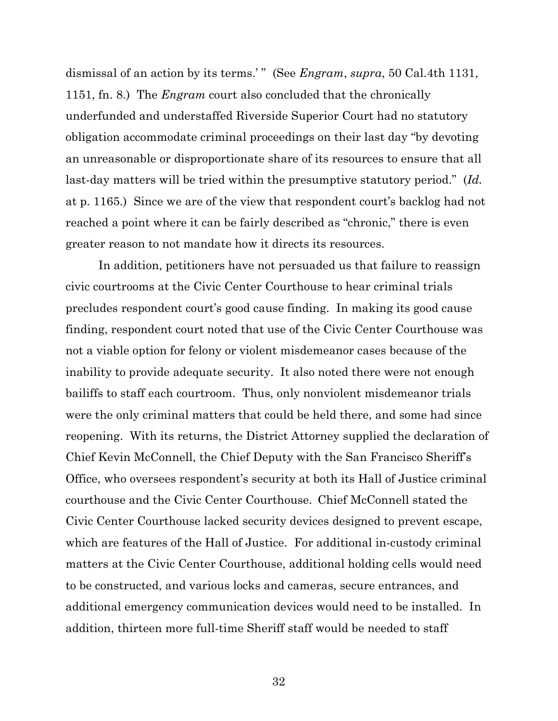dismissal of an action by its terms.'" (See *Engram*, *supra*, 50 Cal.4th 1131, 1151, fn. 8.) The *Engram* court also concluded that the chronically underfunded and understaffed Riverside Superior Court had no statutory obligation accommodate criminal proceedings on their last day "by devoting an unreasonable or disproportionate share of its resources to ensure that all last-day matters will be tried within the presumptive statutory period." (*Id.*  at p. 1165.) Since we are of the view that respondent court's backlog had not reached a point where it can be fairly described as "chronic," there is even greater reason to not mandate how it directs its resources.

In addition, petitioners have not persuaded us that failure to reassign civic courtrooms at the Civic Center Courthouse to hear criminal trials precludes respondent court's good cause finding. In making its good cause finding, respondent court noted that use of the Civic Center Courthouse was not a viable option for felony or violent misdemeanor cases because of the inability to provide adequate security. It also noted there were not enough bailiffs to staff each courtroom. Thus, only nonviolent misdemeanor trials were the only criminal matters that could be held there, and some had since reopening. With its returns, the District Attorney supplied the declaration of Chief Kevin McConnell, the Chief Deputy with the San Francisco Sheriff's Office, who oversees respondent's security at both its Hall of Justice criminal courthouse and the Civic Center Courthouse. Chief McConnell stated the Civic Center Courthouse lacked security devices designed to prevent escape, which are features of the Hall of Justice. For additional in-custody criminal matters at the Civic Center Courthouse, additional holding cells would need to be constructed, and various locks and cameras, secure entrances, and additional emergency communication devices would need to be installed. In addition, thirteen more full-time Sheriff staff would be needed to staff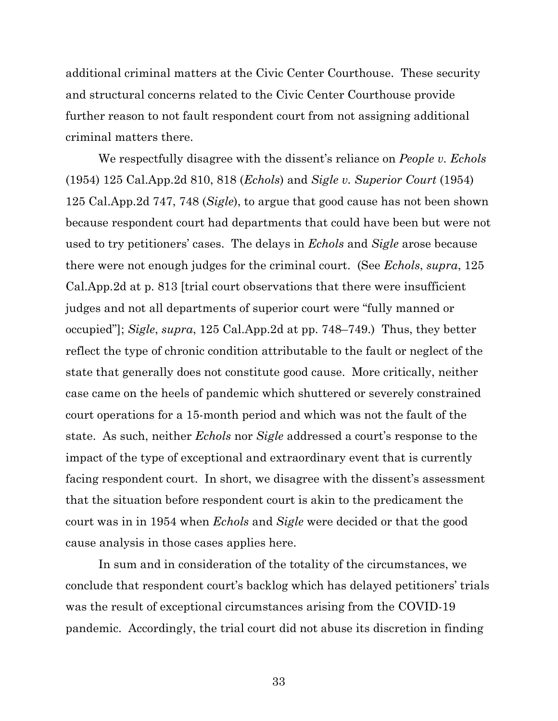additional criminal matters at the Civic Center Courthouse. These security and structural concerns related to the Civic Center Courthouse provide further reason to not fault respondent court from not assigning additional criminal matters there.

We respectfully disagree with the dissent's reliance on *People v. Echols* (1954) 125 Cal.App.2d 810, 818 (*Echols*) and *Sigle v. Superior Court* (1954) 125 Cal.App.2d 747, 748 (*Sigle*), to argue that good cause has not been shown because respondent court had departments that could have been but were not used to try petitioners' cases. The delays in *Echols* and *Sigle* arose because there were not enough judges for the criminal court. (See *Echols*, *supra*, 125 Cal.App.2d at p. 813 [trial court observations that there were insufficient judges and not all departments of superior court were "fully manned or occupied"]; *Sigle*, *supra*, 125 Cal.App.2d at pp. 748–749.) Thus, they better reflect the type of chronic condition attributable to the fault or neglect of the state that generally does not constitute good cause. More critically, neither case came on the heels of pandemic which shuttered or severely constrained court operations for a 15-month period and which was not the fault of the state. As such, neither *Echols* nor *Sigle* addressed a court's response to the impact of the type of exceptional and extraordinary event that is currently facing respondent court. In short, we disagree with the dissent's assessment that the situation before respondent court is akin to the predicament the court was in in 1954 when *Echols* and *Sigle* were decided or that the good cause analysis in those cases applies here.

In sum and in consideration of the totality of the circumstances, we conclude that respondent court's backlog which has delayed petitioners' trials was the result of exceptional circumstances arising from the COVID-19 pandemic. Accordingly, the trial court did not abuse its discretion in finding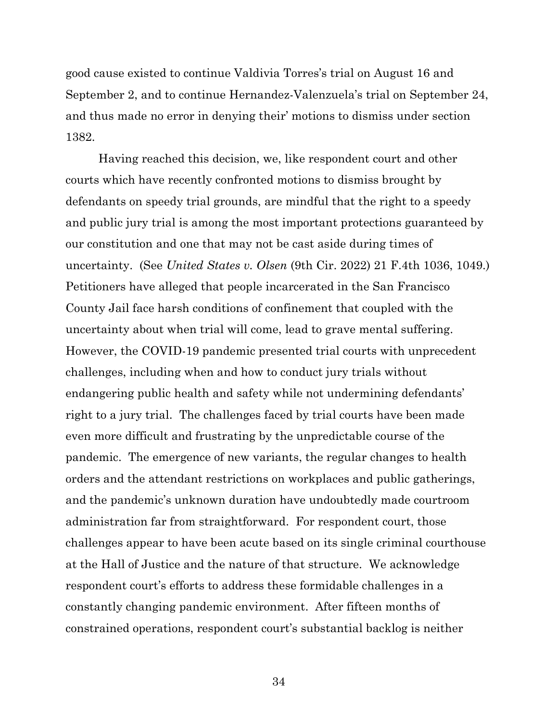good cause existed to continue Valdivia Torres's trial on August 16 and September 2, and to continue Hernandez-Valenzuela's trial on September 24, and thus made no error in denying their' motions to dismiss under section 1382.

Having reached this decision, we, like respondent court and other courts which have recently confronted motions to dismiss brought by defendants on speedy trial grounds, are mindful that the right to a speedy and public jury trial is among the most important protections guaranteed by our constitution and one that may not be cast aside during times of uncertainty. (See *United States v. Olsen* (9th Cir. 2022) 21 F.4th 1036, 1049.) Petitioners have alleged that people incarcerated in the San Francisco County Jail face harsh conditions of confinement that coupled with the uncertainty about when trial will come, lead to grave mental suffering. However, the COVID-19 pandemic presented trial courts with unprecedent challenges, including when and how to conduct jury trials without endangering public health and safety while not undermining defendants' right to a jury trial. The challenges faced by trial courts have been made even more difficult and frustrating by the unpredictable course of the pandemic. The emergence of new variants, the regular changes to health orders and the attendant restrictions on workplaces and public gatherings, and the pandemic's unknown duration have undoubtedly made courtroom administration far from straightforward. For respondent court, those challenges appear to have been acute based on its single criminal courthouse at the Hall of Justice and the nature of that structure. We acknowledge respondent court's efforts to address these formidable challenges in a constantly changing pandemic environment. After fifteen months of constrained operations, respondent court's substantial backlog is neither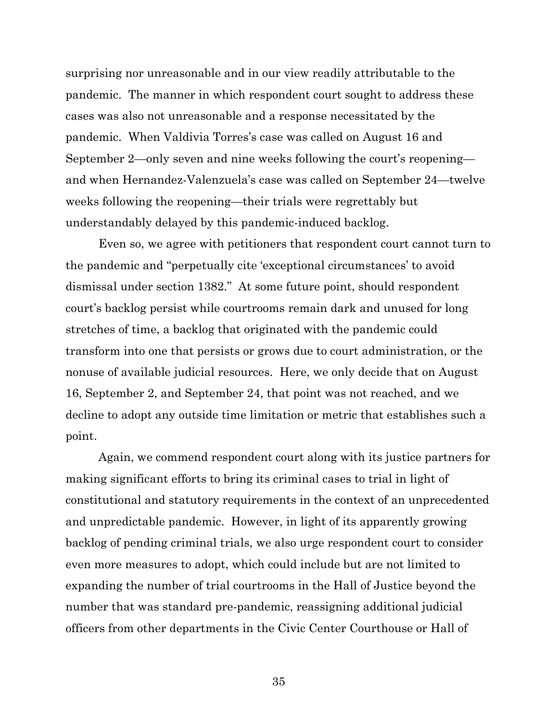surprising nor unreasonable and in our view readily attributable to the pandemic. The manner in which respondent court sought to address these cases was also not unreasonable and a response necessitated by the pandemic. When Valdivia Torres's case was called on August 16 and September 2—only seven and nine weeks following the court's reopening and when Hernandez-Valenzuela's case was called on September 24—twelve weeks following the reopening—their trials were regrettably but understandably delayed by this pandemic-induced backlog.

Even so, we agree with petitioners that respondent court cannot turn to the pandemic and "perpetually cite 'exceptional circumstances' to avoid dismissal under section 1382." At some future point, should respondent court's backlog persist while courtrooms remain dark and unused for long stretches of time, a backlog that originated with the pandemic could transform into one that persists or grows due to court administration, or the nonuse of available judicial resources. Here, we only decide that on August 16, September 2, and September 24, that point was not reached, and we decline to adopt any outside time limitation or metric that establishes such a point.

Again, we commend respondent court along with its justice partners for making significant efforts to bring its criminal cases to trial in light of constitutional and statutory requirements in the context of an unprecedented and unpredictable pandemic. However, in light of its apparently growing backlog of pending criminal trials, we also urge respondent court to consider even more measures to adopt, which could include but are not limited to expanding the number of trial courtrooms in the Hall of Justice beyond the number that was standard pre-pandemic, reassigning additional judicial officers from other departments in the Civic Center Courthouse or Hall of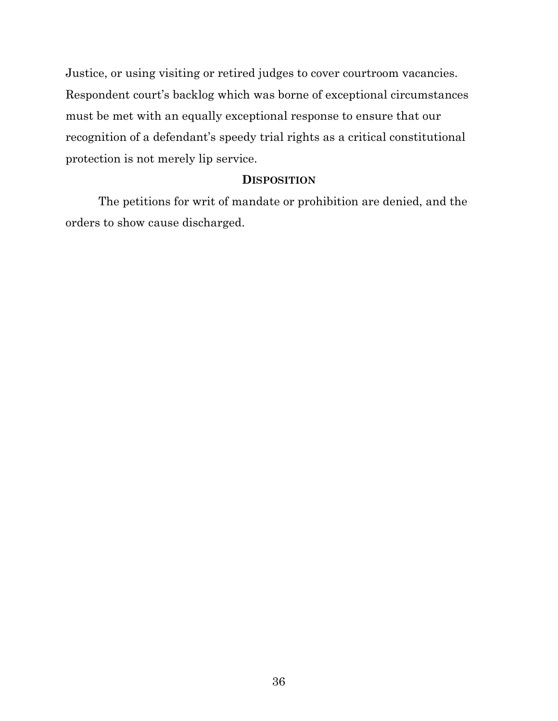Justice, or using visiting or retired judges to cover courtroom vacancies. Respondent court's backlog which was borne of exceptional circumstances must be met with an equally exceptional response to ensure that our recognition of a defendant's speedy trial rights as a critical constitutional protection is not merely lip service.

### **DISPOSITION**

The petitions for writ of mandate or prohibition are denied, and the orders to show cause discharged.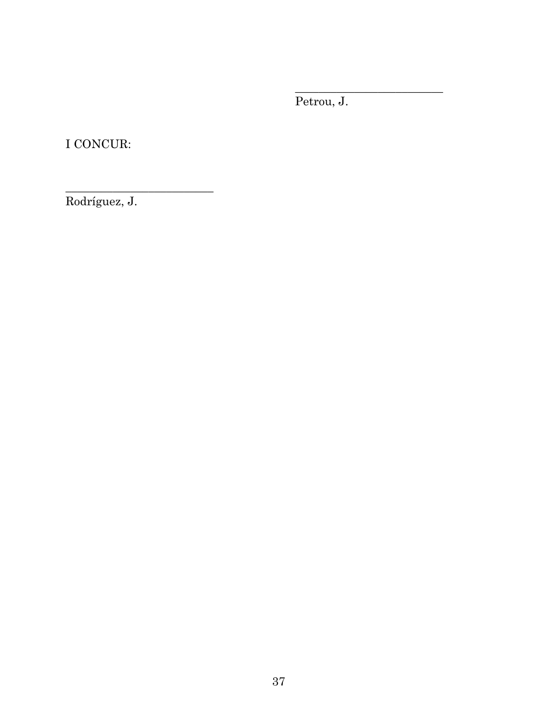Petrou, J.

\_\_\_\_\_\_\_\_\_\_\_\_\_\_\_\_\_\_\_\_\_\_\_\_\_

I CONCUR:

Rodríguez, J.

\_\_\_\_\_\_\_\_\_\_\_\_\_\_\_\_\_\_\_\_\_\_\_\_\_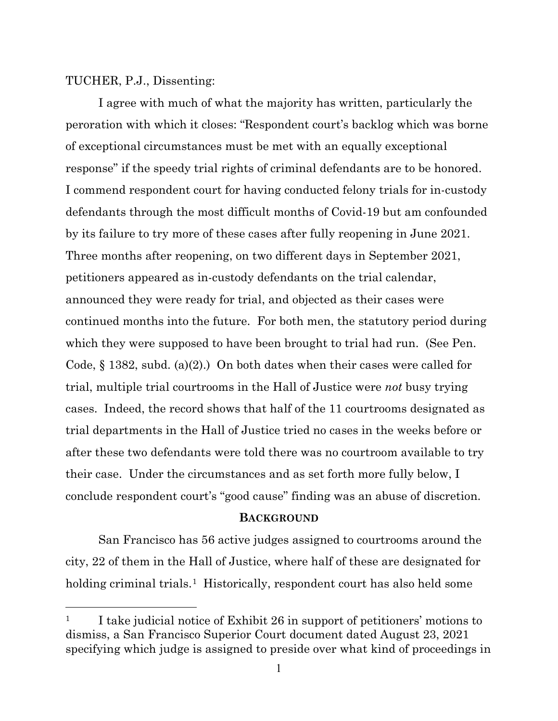### TUCHER, P.J., Dissenting:

I agree with much of what the majority has written, particularly the peroration with which it closes: "Respondent court's backlog which was borne of exceptional circumstances must be met with an equally exceptional response" if the speedy trial rights of criminal defendants are to be honored. I commend respondent court for having conducted felony trials for in-custody defendants through the most difficult months of Covid-19 but am confounded by its failure to try more of these cases after fully reopening in June 2021. Three months after reopening, on two different days in September 2021, petitioners appeared as in-custody defendants on the trial calendar, announced they were ready for trial, and objected as their cases were continued months into the future. For both men, the statutory period during which they were supposed to have been brought to trial had run. (See Pen. Code,  $\S$  1382, subd. (a)(2).) On both dates when their cases were called for trial, multiple trial courtrooms in the Hall of Justice were *not* busy trying cases. Indeed, the record shows that half of the 11 courtrooms designated as trial departments in the Hall of Justice tried no cases in the weeks before or after these two defendants were told there was no courtroom available to try their case. Under the circumstances and as set forth more fully below, I conclude respondent court's "good cause" finding was an abuse of discretion.

#### **BACKGROUND**

San Francisco has 56 active judges assigned to courtrooms around the city, 22 of them in the Hall of Justice, where half of these are designated for holding criminal trials.<sup>[1](#page-37-0)</sup> Historically, respondent court has also held some

<span id="page-37-0"></span><sup>&</sup>lt;sup>1</sup> I take judicial notice of Exhibit 26 in support of petitioners' motions to dismiss, a San Francisco Superior Court document dated August 23, 2021 specifying which judge is assigned to preside over what kind of proceedings in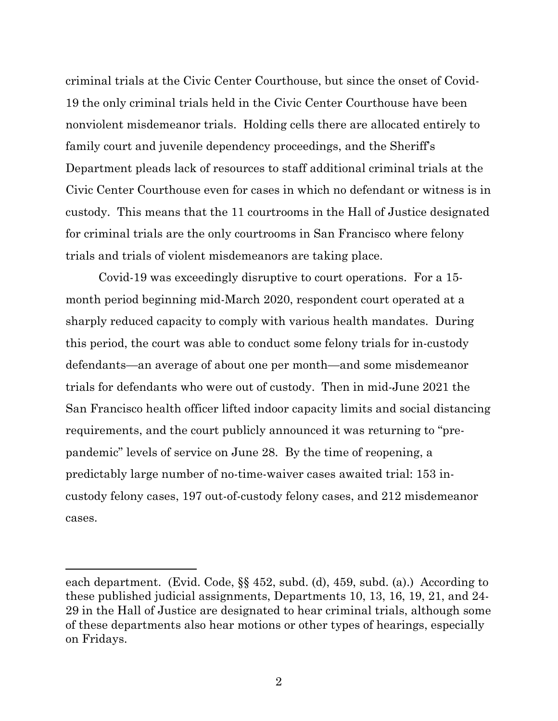criminal trials at the Civic Center Courthouse, but since the onset of Covid-19 the only criminal trials held in the Civic Center Courthouse have been nonviolent misdemeanor trials. Holding cells there are allocated entirely to family court and juvenile dependency proceedings, and the Sheriff's Department pleads lack of resources to staff additional criminal trials at the Civic Center Courthouse even for cases in which no defendant or witness is in custody. This means that the 11 courtrooms in the Hall of Justice designated for criminal trials are the only courtrooms in San Francisco where felony trials and trials of violent misdemeanors are taking place.

Covid-19 was exceedingly disruptive to court operations. For a 15 month period beginning mid-March 2020, respondent court operated at a sharply reduced capacity to comply with various health mandates. During this period, the court was able to conduct some felony trials for in-custody defendants—an average of about one per month—and some misdemeanor trials for defendants who were out of custody. Then in mid-June 2021 the San Francisco health officer lifted indoor capacity limits and social distancing requirements, and the court publicly announced it was returning to "prepandemic" levels of service on June 28. By the time of reopening, a predictably large number of no-time-waiver cases awaited trial: 153 incustody felony cases, 197 out-of-custody felony cases, and 212 misdemeanor cases.

each department. (Evid. Code, §§ 452, subd. (d), 459, subd. (a).) According to these published judicial assignments, Departments 10, 13, 16, 19, 21, and 24- 29 in the Hall of Justice are designated to hear criminal trials, although some of these departments also hear motions or other types of hearings, especially on Fridays.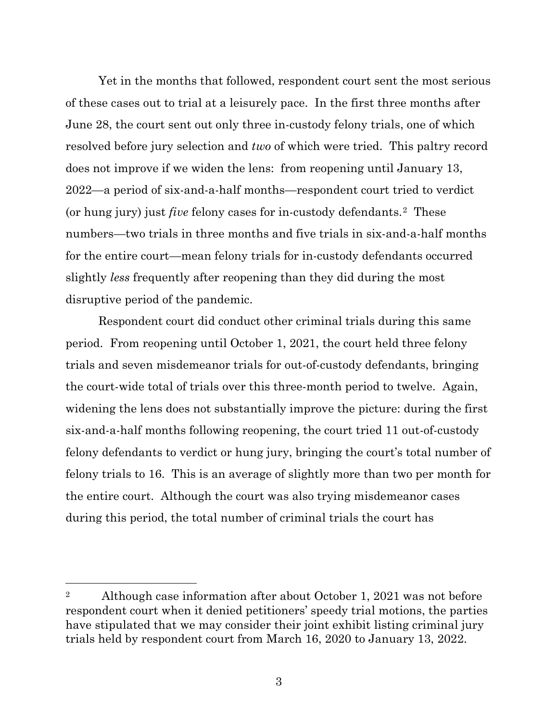Yet in the months that followed, respondent court sent the most serious of these cases out to trial at a leisurely pace. In the first three months after June 28, the court sent out only three in-custody felony trials, one of which resolved before jury selection and *two* of which were tried. This paltry record does not improve if we widen the lens: from reopening until January 13, 2022—a period of six-and-a-half months—respondent court tried to verdict (or hung jury) just *five* felony cases for in-custody defendants.[2](#page-39-0) These numbers—two trials in three months and five trials in six-and-a-half months for the entire court—mean felony trials for in-custody defendants occurred slightly *less* frequently after reopening than they did during the most disruptive period of the pandemic.

Respondent court did conduct other criminal trials during this same period. From reopening until October 1, 2021, the court held three felony trials and seven misdemeanor trials for out-of-custody defendants, bringing the court-wide total of trials over this three-month period to twelve. Again, widening the lens does not substantially improve the picture: during the first six-and-a-half months following reopening, the court tried 11 out-of-custody felony defendants to verdict or hung jury, bringing the court's total number of felony trials to 16. This is an average of slightly more than two per month for the entire court. Although the court was also trying misdemeanor cases during this period, the total number of criminal trials the court has

<span id="page-39-0"></span><sup>&</sup>lt;sup>2</sup> Although case information after about October 1, 2021 was not before respondent court when it denied petitioners' speedy trial motions, the parties have stipulated that we may consider their joint exhibit listing criminal jury trials held by respondent court from March 16, 2020 to January 13, 2022.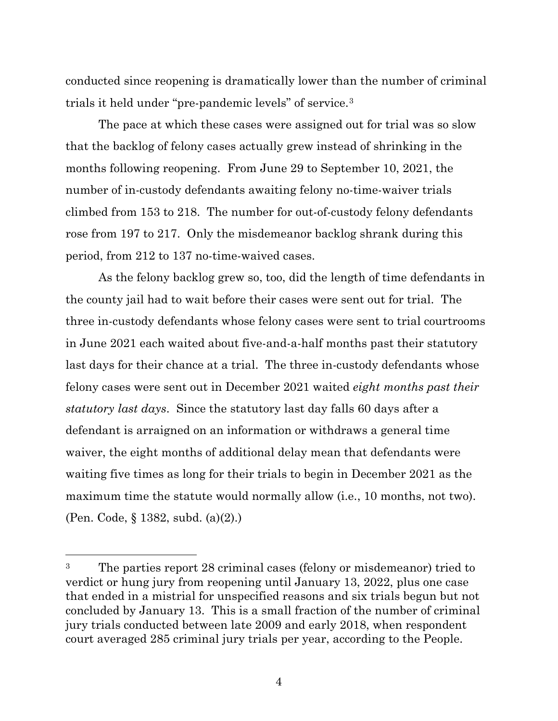conducted since reopening is dramatically lower than the number of criminal trials it held under "pre-pandemic levels" of service.[3](#page-40-0)

The pace at which these cases were assigned out for trial was so slow that the backlog of felony cases actually grew instead of shrinking in the months following reopening. From June 29 to September 10, 2021, the number of in-custody defendants awaiting felony no-time-waiver trials climbed from 153 to 218. The number for out-of-custody felony defendants rose from 197 to 217. Only the misdemeanor backlog shrank during this period, from 212 to 137 no-time-waived cases.

As the felony backlog grew so, too, did the length of time defendants in the county jail had to wait before their cases were sent out for trial. The three in-custody defendants whose felony cases were sent to trial courtrooms in June 2021 each waited about five-and-a-half months past their statutory last days for their chance at a trial. The three in-custody defendants whose felony cases were sent out in December 2021 waited *eight months past their statutory last days*. Since the statutory last day falls 60 days after a defendant is arraigned on an information or withdraws a general time waiver, the eight months of additional delay mean that defendants were waiting five times as long for their trials to begin in December 2021 as the maximum time the statute would normally allow (i.e., 10 months, not two). (Pen. Code, § 1382, subd. (a)(2).)

<span id="page-40-0"></span><sup>3</sup> The parties report 28 criminal cases (felony or misdemeanor) tried to verdict or hung jury from reopening until January 13, 2022, plus one case that ended in a mistrial for unspecified reasons and six trials begun but not concluded by January 13. This is a small fraction of the number of criminal jury trials conducted between late 2009 and early 2018, when respondent court averaged 285 criminal jury trials per year, according to the People.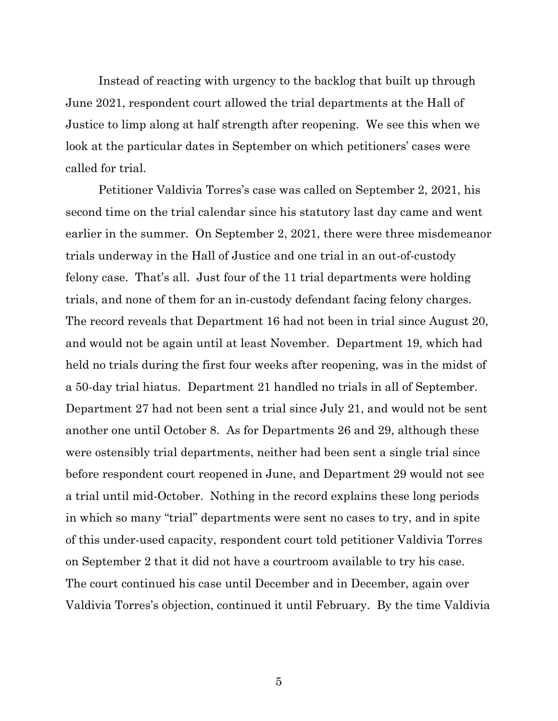Instead of reacting with urgency to the backlog that built up through June 2021, respondent court allowed the trial departments at the Hall of Justice to limp along at half strength after reopening. We see this when we look at the particular dates in September on which petitioners' cases were called for trial.

Petitioner Valdivia Torres's case was called on September 2, 2021, his second time on the trial calendar since his statutory last day came and went earlier in the summer. On September 2, 2021, there were three misdemeanor trials underway in the Hall of Justice and one trial in an out-of-custody felony case. That's all. Just four of the 11 trial departments were holding trials, and none of them for an in-custody defendant facing felony charges. The record reveals that Department 16 had not been in trial since August 20, and would not be again until at least November. Department 19, which had held no trials during the first four weeks after reopening, was in the midst of a 50-day trial hiatus. Department 21 handled no trials in all of September. Department 27 had not been sent a trial since July 21, and would not be sent another one until October 8. As for Departments 26 and 29, although these were ostensibly trial departments, neither had been sent a single trial since before respondent court reopened in June, and Department 29 would not see a trial until mid-October. Nothing in the record explains these long periods in which so many "trial" departments were sent no cases to try, and in spite of this under-used capacity, respondent court told petitioner Valdivia Torres on September 2 that it did not have a courtroom available to try his case. The court continued his case until December and in December, again over Valdivia Torres's objection, continued it until February. By the time Valdivia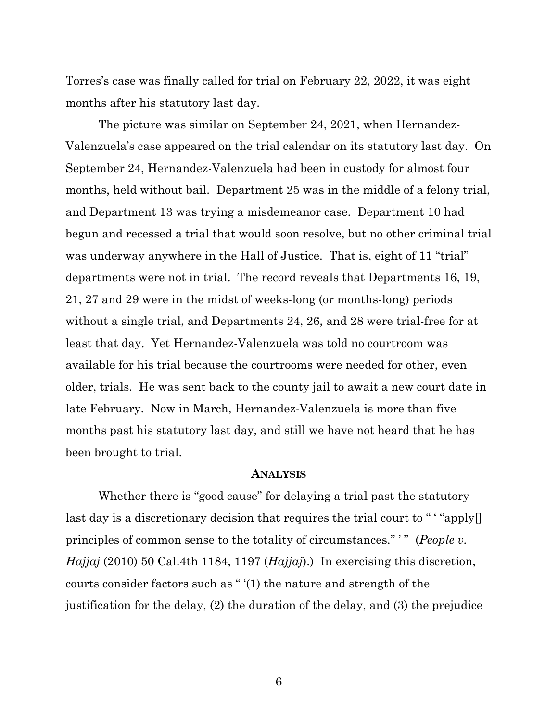Torres's case was finally called for trial on February 22, 2022, it was eight months after his statutory last day.

The picture was similar on September 24, 2021, when Hernandez-Valenzuela's case appeared on the trial calendar on its statutory last day. On September 24, Hernandez-Valenzuela had been in custody for almost four months, held without bail. Department 25 was in the middle of a felony trial, and Department 13 was trying a misdemeanor case. Department 10 had begun and recessed a trial that would soon resolve, but no other criminal trial was underway anywhere in the Hall of Justice. That is, eight of 11 "trial" departments were not in trial. The record reveals that Departments 16, 19, 21, 27 and 29 were in the midst of weeks-long (or months-long) periods without a single trial, and Departments 24, 26, and 28 were trial-free for at least that day. Yet Hernandez-Valenzuela was told no courtroom was available for his trial because the courtrooms were needed for other, even older, trials. He was sent back to the county jail to await a new court date in late February. Now in March, Hernandez-Valenzuela is more than five months past his statutory last day, and still we have not heard that he has been brought to trial.

#### **ANALYSIS**

Whether there is "good cause" for delaying a trial past the statutory last day is a discretionary decision that requires the trial court to " "apply<sup>[]</sup> principles of common sense to the totality of circumstances." " (*People v. Hajjaj* (2010) 50 Cal.4th 1184, 1197 (*Hajjaj*).) In exercising this discretion, courts consider factors such as " '(1) the nature and strength of the justification for the delay, (2) the duration of the delay, and (3) the prejudice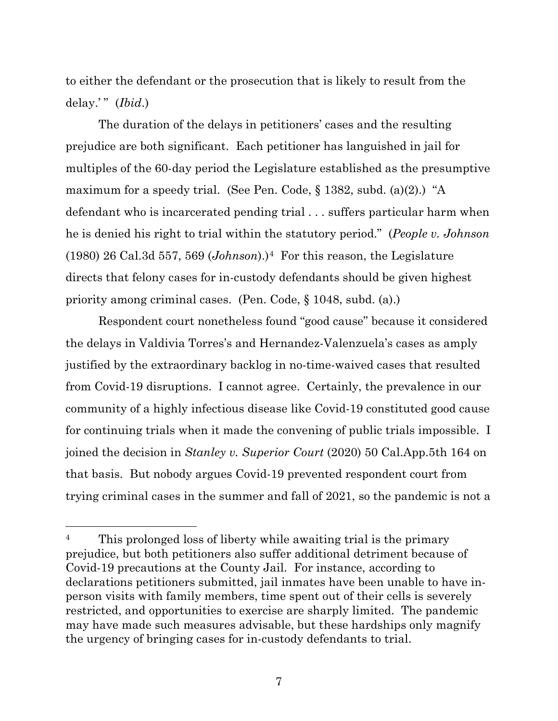to either the defendant or the prosecution that is likely to result from the delay.'" (*Ibid*.)

The duration of the delays in petitioners' cases and the resulting prejudice are both significant. Each petitioner has languished in jail for multiples of the 60-day period the Legislature established as the presumptive maximum for a speedy trial. (See Pen. Code, § 1382, subd. (a)(2).) "A defendant who is incarcerated pending trial . . . suffers particular harm when he is denied his right to trial within the statutory period." (*People v. Johnson*  $(1980)$  26 Cal.3d 557, 569 (*Johnson*).)<sup>4</sup> For this reason, the Legislature directs that felony cases for in-custody defendants should be given highest priority among criminal cases. (Pen. Code, § 1048, subd. (a).)

Respondent court nonetheless found "good cause" because it considered the delays in Valdivia Torres's and Hernandez-Valenzuela's cases as amply justified by the extraordinary backlog in no-time-waived cases that resulted from Covid-19 disruptions. I cannot agree. Certainly, the prevalence in our community of a highly infectious disease like Covid-19 constituted good cause for continuing trials when it made the convening of public trials impossible. I joined the decision in *Stanley v. Superior Court* (2020) 50 Cal.App.5th 164 on that basis. But nobody argues Covid-19 prevented respondent court from trying criminal cases in the summer and fall of 2021, so the pandemic is not a

<span id="page-43-0"></span><sup>&</sup>lt;sup>4</sup> This prolonged loss of liberty while awaiting trial is the primary prejudice, but both petitioners also suffer additional detriment because of Covid-19 precautions at the County Jail. For instance, according to declarations petitioners submitted, jail inmates have been unable to have inperson visits with family members, time spent out of their cells is severely restricted, and opportunities to exercise are sharply limited. The pandemic may have made such measures advisable, but these hardships only magnify the urgency of bringing cases for in-custody defendants to trial.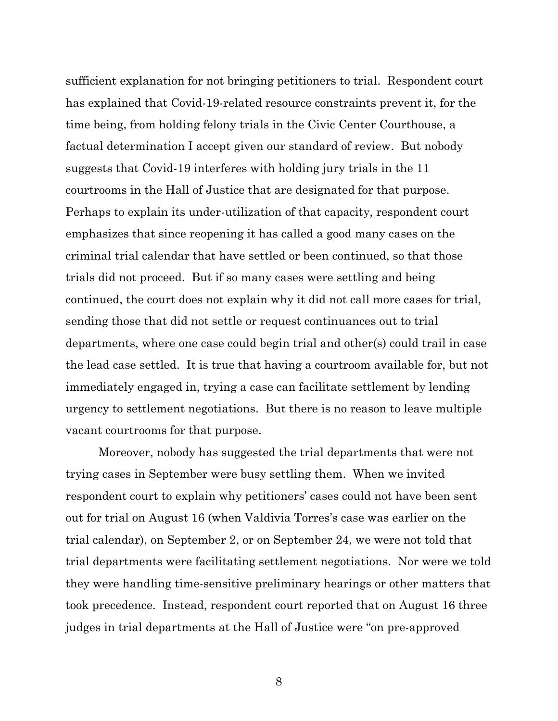sufficient explanation for not bringing petitioners to trial. Respondent court has explained that Covid-19-related resource constraints prevent it, for the time being, from holding felony trials in the Civic Center Courthouse, a factual determination I accept given our standard of review. But nobody suggests that Covid-19 interferes with holding jury trials in the 11 courtrooms in the Hall of Justice that are designated for that purpose. Perhaps to explain its under-utilization of that capacity, respondent court emphasizes that since reopening it has called a good many cases on the criminal trial calendar that have settled or been continued, so that those trials did not proceed. But if so many cases were settling and being continued, the court does not explain why it did not call more cases for trial, sending those that did not settle or request continuances out to trial departments, where one case could begin trial and other(s) could trail in case the lead case settled. It is true that having a courtroom available for, but not immediately engaged in, trying a case can facilitate settlement by lending urgency to settlement negotiations. But there is no reason to leave multiple vacant courtrooms for that purpose.

Moreover, nobody has suggested the trial departments that were not trying cases in September were busy settling them. When we invited respondent court to explain why petitioners' cases could not have been sent out for trial on August 16 (when Valdivia Torres's case was earlier on the trial calendar), on September 2, or on September 24, we were not told that trial departments were facilitating settlement negotiations. Nor were we told they were handling time-sensitive preliminary hearings or other matters that took precedence. Instead, respondent court reported that on August 16 three judges in trial departments at the Hall of Justice were "on pre-approved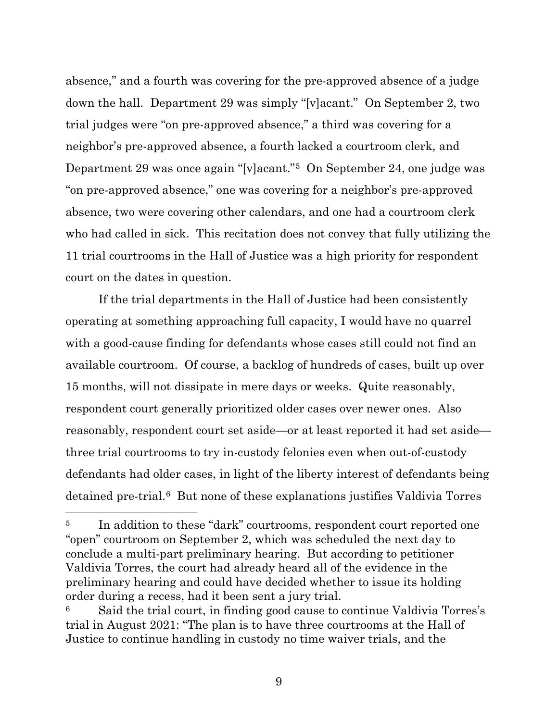absence," and a fourth was covering for the pre-approved absence of a judge down the hall. Department 29 was simply "[v]acant." On September 2, two trial judges were "on pre-approved absence," a third was covering for a neighbor's pre-approved absence, a fourth lacked a courtroom clerk, and Department 29 was once again "[v]acant."[5](#page-45-0) On September 24, one judge was "on pre-approved absence," one was covering for a neighbor's pre-approved absence, two were covering other calendars, and one had a courtroom clerk who had called in sick. This recitation does not convey that fully utilizing the 11 trial courtrooms in the Hall of Justice was a high priority for respondent court on the dates in question.

If the trial departments in the Hall of Justice had been consistently operating at something approaching full capacity, I would have no quarrel with a good-cause finding for defendants whose cases still could not find an available courtroom. Of course, a backlog of hundreds of cases, built up over 15 months, will not dissipate in mere days or weeks. Quite reasonably, respondent court generally prioritized older cases over newer ones. Also reasonably, respondent court set aside—or at least reported it had set aside three trial courtrooms to try in-custody felonies even when out-of-custody defendants had older cases, in light of the liberty interest of defendants being detained pre-trial.[6](#page-45-1) But none of these explanations justifies Valdivia Torres

<span id="page-45-0"></span><sup>&</sup>lt;sup>5</sup> In addition to these "dark" courtrooms, respondent court reported one "open" courtroom on September 2, which was scheduled the next day to conclude a multi-part preliminary hearing. But according to petitioner Valdivia Torres, the court had already heard all of the evidence in the preliminary hearing and could have decided whether to issue its holding order during a recess, had it been sent a jury trial.

<span id="page-45-1"></span>Said the trial court, in finding good cause to continue Valdivia Torres's trial in August 2021: "The plan is to have three courtrooms at the Hall of Justice to continue handling in custody no time waiver trials, and the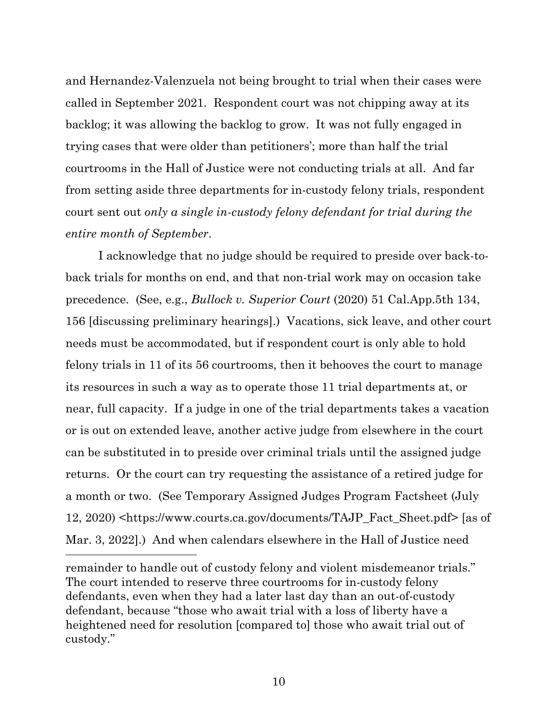and Hernandez-Valenzuela not being brought to trial when their cases were called in September 2021. Respondent court was not chipping away at its backlog; it was allowing the backlog to grow. It was not fully engaged in trying cases that were older than petitioners'; more than half the trial courtrooms in the Hall of Justice were not conducting trials at all. And far from setting aside three departments for in-custody felony trials, respondent court sent out *only a single in-custody felony defendant for trial during the entire month of September*.

I acknowledge that no judge should be required to preside over back-toback trials for months on end, and that non-trial work may on occasion take precedence. (See, e.g., *Bullock v. Superior Court* (2020) 51 Cal.App.5th 134, 156 [discussing preliminary hearings].) Vacations, sick leave, and other court needs must be accommodated, but if respondent court is only able to hold felony trials in 11 of its 56 courtrooms, then it behooves the court to manage its resources in such a way as to operate those 11 trial departments at, or near, full capacity. If a judge in one of the trial departments takes a vacation or is out on extended leave, another active judge from elsewhere in the court can be substituted in to preside over criminal trials until the assigned judge returns. Or the court can try requesting the assistance of a retired judge for a month or two. (See Temporary Assigned Judges Program Factsheet (July 12, 2020) <https://www.courts.ca.gov/documents/TAJP\_Fact\_Sheet.pdf> [as of Mar. 3, 2022].) And when calendars elsewhere in the Hall of Justice need

remainder to handle out of custody felony and violent misdemeanor trials." The court intended to reserve three courtrooms for in-custody felony defendants, even when they had a later last day than an out-of-custody defendant, because "those who await trial with a loss of liberty have a heightened need for resolution [compared to] those who await trial out of custody."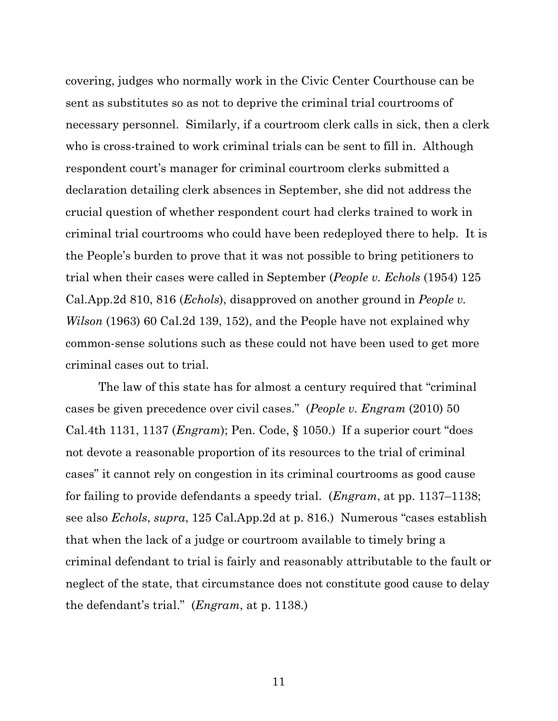covering, judges who normally work in the Civic Center Courthouse can be sent as substitutes so as not to deprive the criminal trial courtrooms of necessary personnel. Similarly, if a courtroom clerk calls in sick, then a clerk who is cross-trained to work criminal trials can be sent to fill in. Although respondent court's manager for criminal courtroom clerks submitted a declaration detailing clerk absences in September, she did not address the crucial question of whether respondent court had clerks trained to work in criminal trial courtrooms who could have been redeployed there to help. It is the People's burden to prove that it was not possible to bring petitioners to trial when their cases were called in September (*People v. Echols* (1954) 125 Cal.App.2d 810, 816 (*Echols*), disapproved on another ground in *People v. Wilson* (1963) 60 Cal.2d 139, 152), and the People have not explained why common-sense solutions such as these could not have been used to get more criminal cases out to trial.

The law of this state has for almost a century required that "criminal cases be given precedence over civil cases." (*People v. Engram* (2010) 50 Cal.4th 1131, 1137 (*Engram*); Pen. Code, § 1050.) If a superior court "does not devote a reasonable proportion of its resources to the trial of criminal cases" it cannot rely on congestion in its criminal courtrooms as good cause for failing to provide defendants a speedy trial. (*Engram*, at pp. 1137–1138; see also *Echols*, *supra*, 125 Cal.App.2d at p. 816.) Numerous "cases establish that when the lack of a judge or courtroom available to timely bring a criminal defendant to trial is fairly and reasonably attributable to the fault or neglect of the state, that circumstance does not constitute good cause to delay the defendant's trial." (*Engram*, at p. 1138.)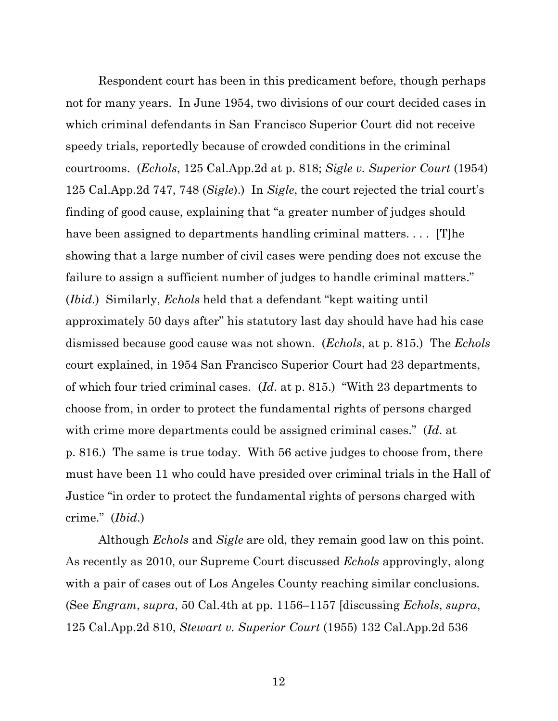Respondent court has been in this predicament before, though perhaps not for many years. In June 1954, two divisions of our court decided cases in which criminal defendants in San Francisco Superior Court did not receive speedy trials, reportedly because of crowded conditions in the criminal courtrooms. (*Echols*, 125 Cal.App.2d at p. 818; *Sigle v. Superior Court* (1954) 125 Cal.App.2d 747, 748 (*Sigle*).) In *Sigle*, the court rejected the trial court's finding of good cause, explaining that "a greater number of judges should have been assigned to departments handling criminal matters.... [T]he showing that a large number of civil cases were pending does not excuse the failure to assign a sufficient number of judges to handle criminal matters." (*Ibid*.) Similarly, *Echols* held that a defendant "kept waiting until approximately 50 days after" his statutory last day should have had his case dismissed because good cause was not shown. (*Echols*, at p. 815.) The *Echols* court explained, in 1954 San Francisco Superior Court had 23 departments, of which four tried criminal cases. (*Id*. at p. 815.) "With 23 departments to choose from, in order to protect the fundamental rights of persons charged with crime more departments could be assigned criminal cases." (*Id*. at p. 816.) The same is true today. With 56 active judges to choose from, there must have been 11 who could have presided over criminal trials in the Hall of Justice "in order to protect the fundamental rights of persons charged with crime." (*Ibid*.)

Although *Echols* and *Sigle* are old, they remain good law on this point. As recently as 2010, our Supreme Court discussed *Echols* approvingly, along with a pair of cases out of Los Angeles County reaching similar conclusions. (See *Engram*, *supra*, 50 Cal.4th at pp. 1156–1157 [discussing *Echols*, *supra*, 125 Cal.App.2d 810, *Stewart v. Superior Court* (1955) 132 Cal.App.2d 536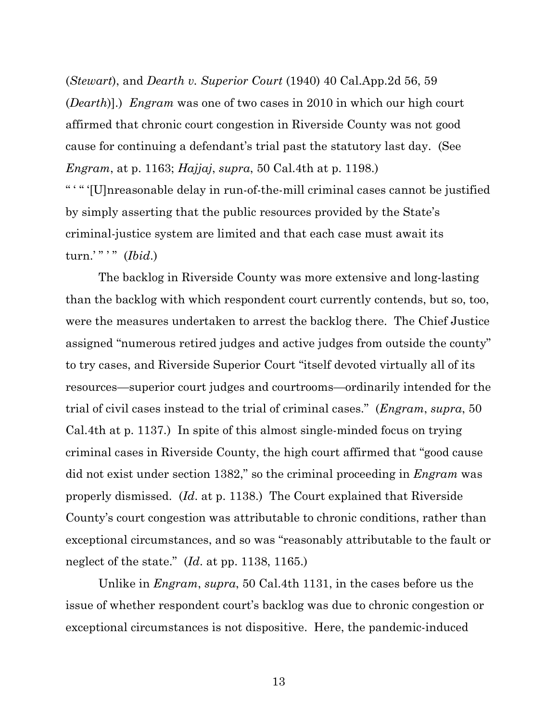(*Stewart*), and *Dearth v. Superior Court* (1940) 40 Cal.App.2d 56, 59 (*Dearth*)].) *Engram* was one of two cases in 2010 in which our high court affirmed that chronic court congestion in Riverside County was not good cause for continuing a defendant's trial past the statutory last day. (See *Engram*, at p. 1163; *Hajjaj*, *supra*, 50 Cal.4th at p. 1198.) " ' " '[U]nreasonable delay in run-of-the-mill criminal cases cannot be justified

by simply asserting that the public resources provided by the State's criminal-justice system are limited and that each case must await its turn.' " " (*Ibid.*)

The backlog in Riverside County was more extensive and long-lasting than the backlog with which respondent court currently contends, but so, too, were the measures undertaken to arrest the backlog there. The Chief Justice assigned "numerous retired judges and active judges from outside the county" to try cases, and Riverside Superior Court "itself devoted virtually all of its resources—superior court judges and courtrooms—ordinarily intended for the trial of civil cases instead to the trial of criminal cases." (*Engram*, *supra*, 50 Cal.4th at p. 1137.) In spite of this almost single-minded focus on trying criminal cases in Riverside County, the high court affirmed that "good cause did not exist under section 1382," so the criminal proceeding in *Engram* was properly dismissed. (*Id*. at p. 1138.) The Court explained that Riverside County's court congestion was attributable to chronic conditions, rather than exceptional circumstances, and so was "reasonably attributable to the fault or neglect of the state." (*Id*. at pp. 1138, 1165.)

Unlike in *Engram*, *supra*, 50 Cal.4th 1131, in the cases before us the issue of whether respondent court's backlog was due to chronic congestion or exceptional circumstances is not dispositive. Here, the pandemic-induced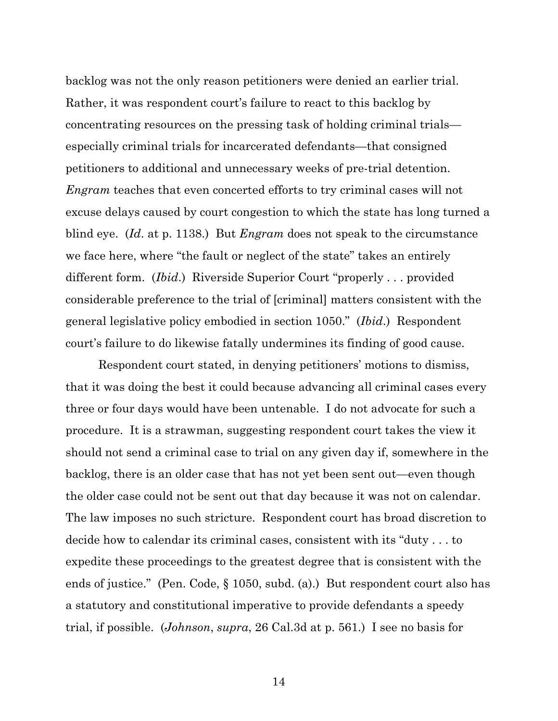backlog was not the only reason petitioners were denied an earlier trial. Rather, it was respondent court's failure to react to this backlog by concentrating resources on the pressing task of holding criminal trials especially criminal trials for incarcerated defendants—that consigned petitioners to additional and unnecessary weeks of pre-trial detention. *Engram* teaches that even concerted efforts to try criminal cases will not excuse delays caused by court congestion to which the state has long turned a blind eye. (*Id*. at p. 1138.) But *Engram* does not speak to the circumstance we face here, where "the fault or neglect of the state" takes an entirely different form. (*Ibid*.) Riverside Superior Court "properly . . . provided considerable preference to the trial of [criminal] matters consistent with the general legislative policy embodied in section 1050." (*Ibid*.) Respondent court's failure to do likewise fatally undermines its finding of good cause.

Respondent court stated, in denying petitioners' motions to dismiss, that it was doing the best it could because advancing all criminal cases every three or four days would have been untenable. I do not advocate for such a procedure. It is a strawman, suggesting respondent court takes the view it should not send a criminal case to trial on any given day if, somewhere in the backlog, there is an older case that has not yet been sent out—even though the older case could not be sent out that day because it was not on calendar. The law imposes no such stricture. Respondent court has broad discretion to decide how to calendar its criminal cases, consistent with its "duty . . . to expedite these proceedings to the greatest degree that is consistent with the ends of justice." (Pen. Code, § 1050, subd. (a).) But respondent court also has a statutory and constitutional imperative to provide defendants a speedy trial, if possible. (*Johnson*, *supra*, 26 Cal.3d at p. 561.) I see no basis for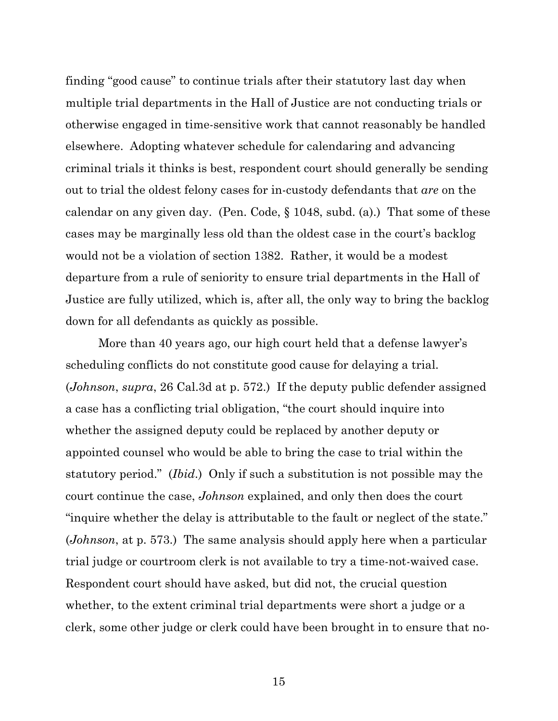finding "good cause" to continue trials after their statutory last day when multiple trial departments in the Hall of Justice are not conducting trials or otherwise engaged in time-sensitive work that cannot reasonably be handled elsewhere. Adopting whatever schedule for calendaring and advancing criminal trials it thinks is best, respondent court should generally be sending out to trial the oldest felony cases for in-custody defendants that *are* on the calendar on any given day. (Pen. Code, § 1048, subd. (a).) That some of these cases may be marginally less old than the oldest case in the court's backlog would not be a violation of section 1382. Rather, it would be a modest departure from a rule of seniority to ensure trial departments in the Hall of Justice are fully utilized, which is, after all, the only way to bring the backlog down for all defendants as quickly as possible.

More than 40 years ago, our high court held that a defense lawyer's scheduling conflicts do not constitute good cause for delaying a trial. (*Johnson*, *supra*, 26 Cal.3d at p. 572.) If the deputy public defender assigned a case has a conflicting trial obligation, "the court should inquire into whether the assigned deputy could be replaced by another deputy or appointed counsel who would be able to bring the case to trial within the statutory period." (*Ibid*.) Only if such a substitution is not possible may the court continue the case, *Johnson* explained, and only then does the court "inquire whether the delay is attributable to the fault or neglect of the state." (*Johnson*, at p. 573.) The same analysis should apply here when a particular trial judge or courtroom clerk is not available to try a time-not-waived case. Respondent court should have asked, but did not, the crucial question whether, to the extent criminal trial departments were short a judge or a clerk, some other judge or clerk could have been brought in to ensure that no-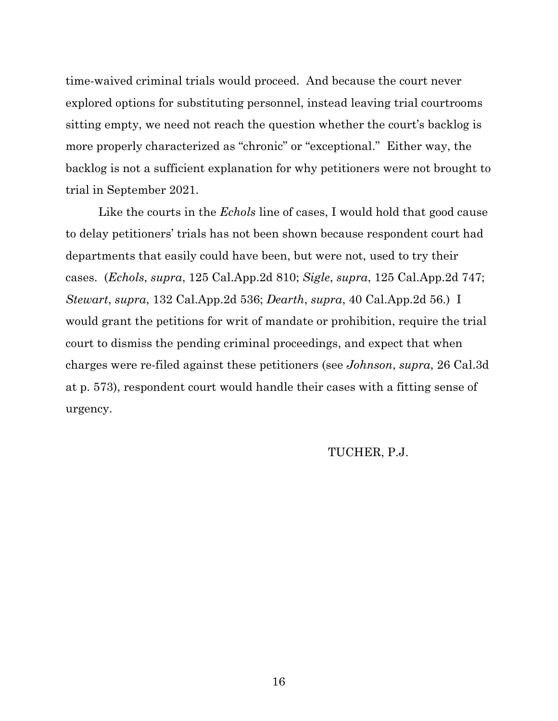time-waived criminal trials would proceed. And because the court never explored options for substituting personnel, instead leaving trial courtrooms sitting empty, we need not reach the question whether the court's backlog is more properly characterized as "chronic" or "exceptional." Either way, the backlog is not a sufficient explanation for why petitioners were not brought to trial in September 2021.

Like the courts in the *Echols* line of cases, I would hold that good cause to delay petitioners' trials has not been shown because respondent court had departments that easily could have been, but were not, used to try their cases. (*Echols*, *supra*, 125 Cal.App.2d 810; *Sigle*, *supra*, 125 Cal.App.2d 747; *Stewart*, *supra*, 132 Cal.App.2d 536; *Dearth*, *supra*, 40 Cal.App.2d 56.) I would grant the petitions for writ of mandate or prohibition, require the trial court to dismiss the pending criminal proceedings, and expect that when charges were re-filed against these petitioners (see *Johnson*, *supra*, 26 Cal.3d at p. 573), respondent court would handle their cases with a fitting sense of urgency.

### TUCHER, P.J.